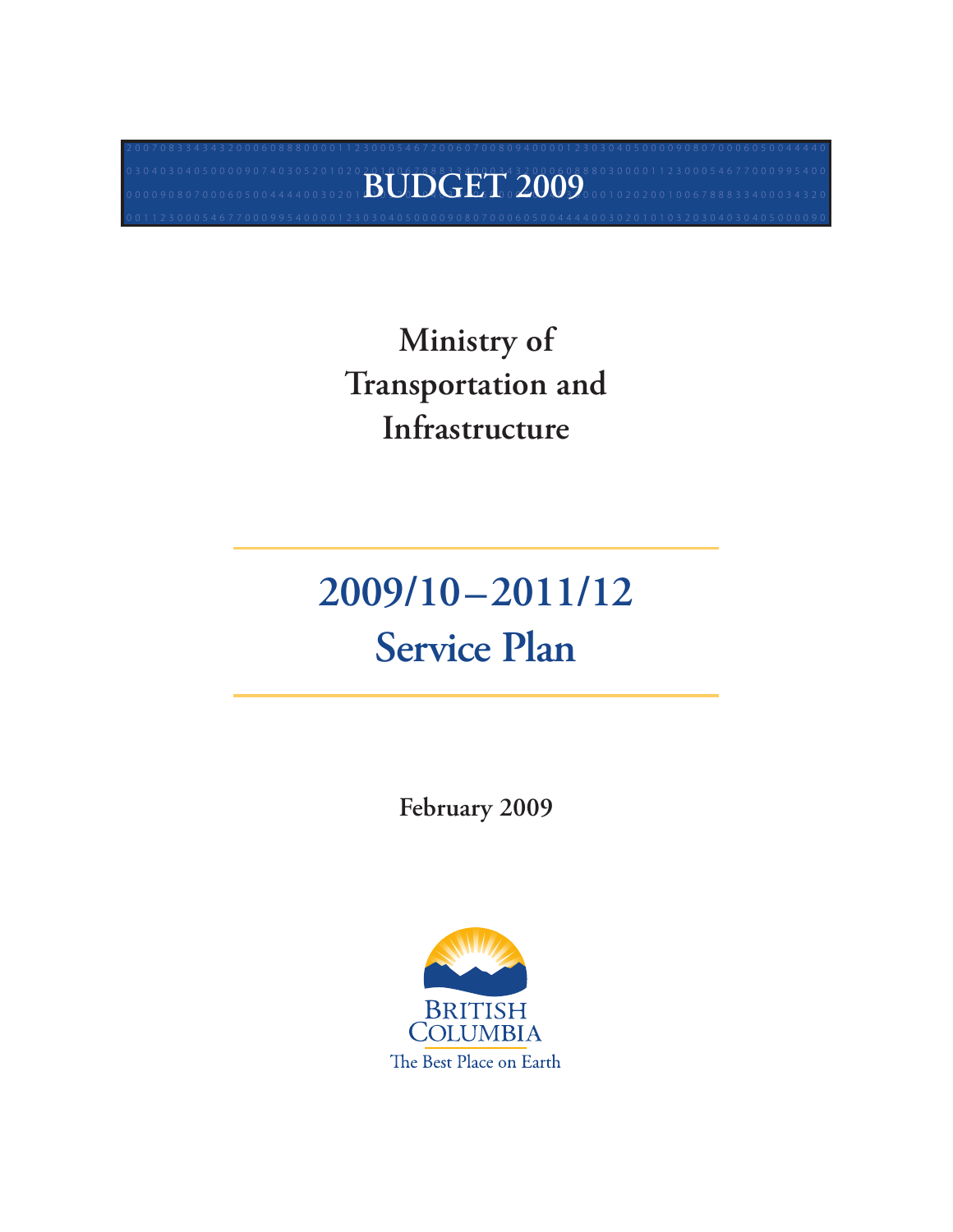## **Ministry of Transportation and Infrastructure**

 $20070833434320006088800001123000546720060700809400001230304050000908070006050044440$ 0320304030405000090740305201020201006788833400034320006088803000011230005467700099540000 1 0 3 0 4 0 5 0 4 0 5 0 0 0 9 0 7 4 0 3 0 5 2 0 1 0 2 0<br>0 0 0 0 9 0 8 0 7 0 0 0 6 0 5 0 0 4 4 4 4 0 0 3 0 2 0 1 **BUDGET 3 2000 2000 0 1** 0 2 0 2 0 0 1 0 2 0 2 0 0 1 0 0 6 7 8 8 8 3 4 0 0 0 3 4 3 2 0 0 3000011230005467700099540000123030405000090807000605004444003020101032030403040500009000 6

# **2009/10–2011/12 Service Plan**

**February 2009**

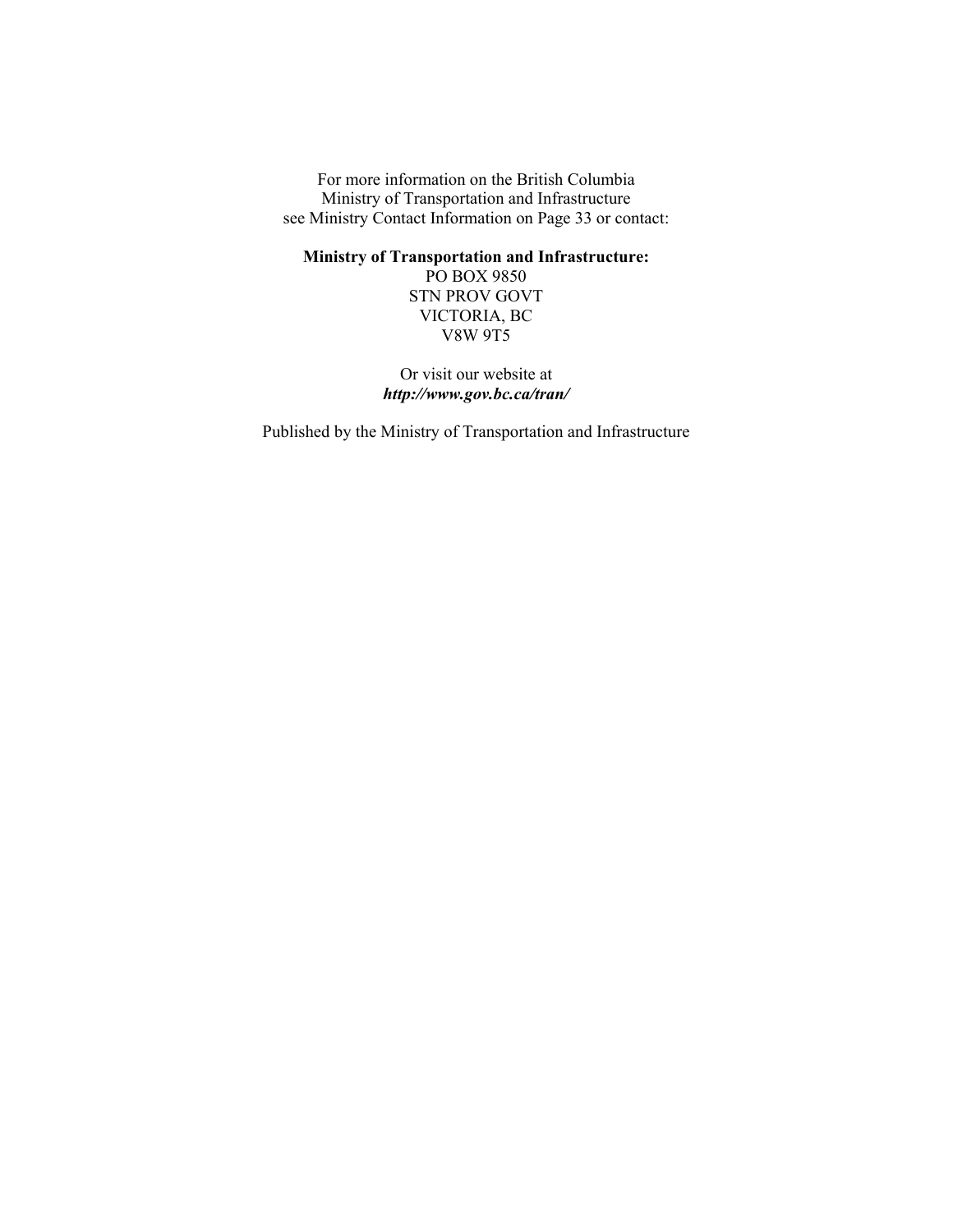For more information on the British Columbia Ministry of Transportation and Infrastructure see Ministry Contact Information on Page 33 or contact:

**Ministry of Transportation and Infrastructure:** 

PO BOX 9850 STN PROV GOVT VICTORIA, BC V8W 9T5

Or visit our website at *<http://www.gov.bc.ca/tran/>*

Published by the Ministry of Transportation and Infrastructure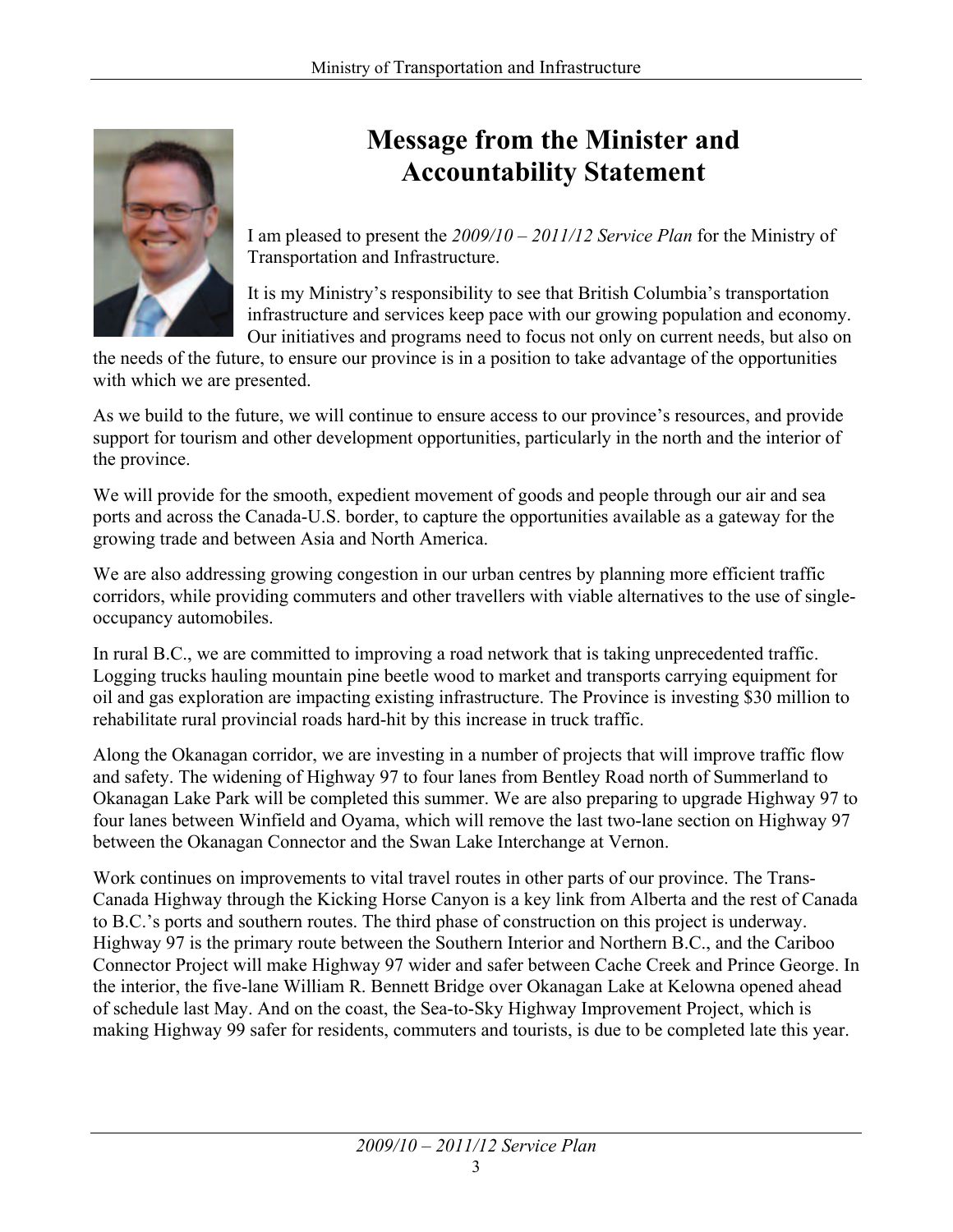

## **Message from the Minister and Accountability Statement**

I am pleased to present the *2009/10 – 2011/12 Service Plan* for the Ministry of Transportation and Infrastructure.

It is my Ministry's responsibility to see that British Columbia's transportation infrastructure and services keep pace with our growing population and economy. Our initiatives and programs need to focus not only on current needs, but also on

the needs of the future, to ensure our province is in a position to take advantage of the opportunities with which we are presented.

As we build to the future, we will continue to ensure access to our province's resources, and provide support for tourism and other development opportunities, particularly in the north and the interior of the province.

We will provide for the smooth, expedient movement of goods and people through our air and sea ports and across the Canada-U.S. border, to capture the opportunities available as a gateway for the growing trade and between Asia and North America.

We are also addressing growing congestion in our urban centres by planning more efficient traffic corridors, while providing commuters and other travellers with viable alternatives to the use of singleoccupancy automobiles.

In rural B.C., we are committed to improving a road network that is taking unprecedented traffic. Logging trucks hauling mountain pine beetle wood to market and transports carrying equipment for oil and gas exploration are impacting existing infrastructure. The Province is investing \$30 million to rehabilitate rural provincial roads hard-hit by this increase in truck traffic.

Along the Okanagan corridor, we are investing in a number of projects that will improve traffic flow and safety. The widening of Highway 97 to four lanes from Bentley Road north of Summerland to Okanagan Lake Park will be completed this summer. We are also preparing to upgrade Highway 97 to four lanes between Winfield and Oyama, which will remove the last two-lane section on Highway 97 between the Okanagan Connector and the Swan Lake Interchange at Vernon.

Work continues on improvements to vital travel routes in other parts of our province. The Trans-Canada Highway through the Kicking Horse Canyon is a key link from Alberta and the rest of Canada to B.C.'s ports and southern routes. The third phase of construction on this project is underway. Highway 97 is the primary route between the Southern Interior and Northern B.C., and the Cariboo Connector Project will make Highway 97 wider and safer between Cache Creek and Prince George. In the interior, the five-lane William R. Bennett Bridge over Okanagan Lake at Kelowna opened ahead of schedule last May. And on the coast, the Sea-to-Sky Highway Improvement Project, which is making Highway 99 safer for residents, commuters and tourists, is due to be completed late this year.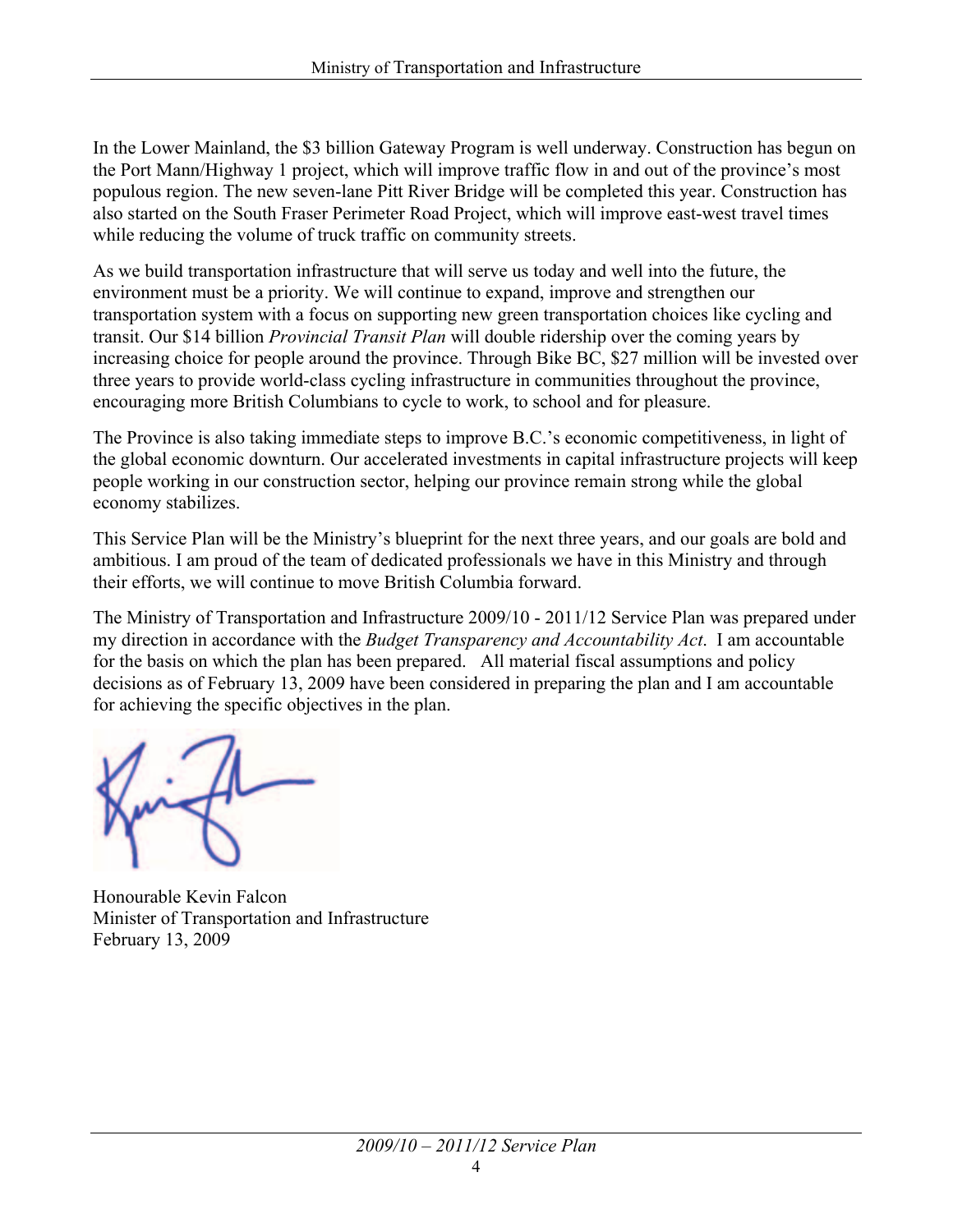In the Lower Mainland, the \$3 billion Gateway Program is well underway. Construction has begun on the Port Mann/Highway 1 project, which will improve traffic flow in and out of the province's most populous region. The new seven-lane Pitt River Bridge will be completed this year. Construction has also started on the South Fraser Perimeter Road Project, which will improve east-west travel times while reducing the volume of truck traffic on community streets.

As we build transportation infrastructure that will serve us today and well into the future, the environment must be a priority. We will continue to expand, improve and strengthen our transportation system with a focus on supporting new green transportation choices like cycling and transit. Our \$14 billion *Provincial Transit Plan* will double ridership over the coming years by increasing choice for people around the province. Through Bike BC, \$27 million will be invested over three years to provide world-class cycling infrastructure in communities throughout the province, encouraging more British Columbians to cycle to work, to school and for pleasure.

The Province is also taking immediate steps to improve B.C.'s economic competitiveness, in light of the global economic downturn. Our accelerated investments in capital infrastructure projects will keep people working in our construction sector, helping our province remain strong while the global economy stabilizes.

This Service Plan will be the Ministry's blueprint for the next three years, and our goals are bold and ambitious. I am proud of the team of dedicated professionals we have in this Ministry and through their efforts, we will continue to move British Columbia forward.

The Ministry of Transportation and Infrastructure 2009/10 - 2011/12 Service Plan was prepared under my direction in accordance with the *Budget Transparency and Accountability Act*. I am accountable for the basis on which the plan has been prepared. All material fiscal assumptions and policy decisions as of February 13, 2009 have been considered in preparing the plan and I am accountable for achieving the specific objectives in the plan.

Honourable Kevin Falcon Minister of Transportation and Infrastructure February 13, 2009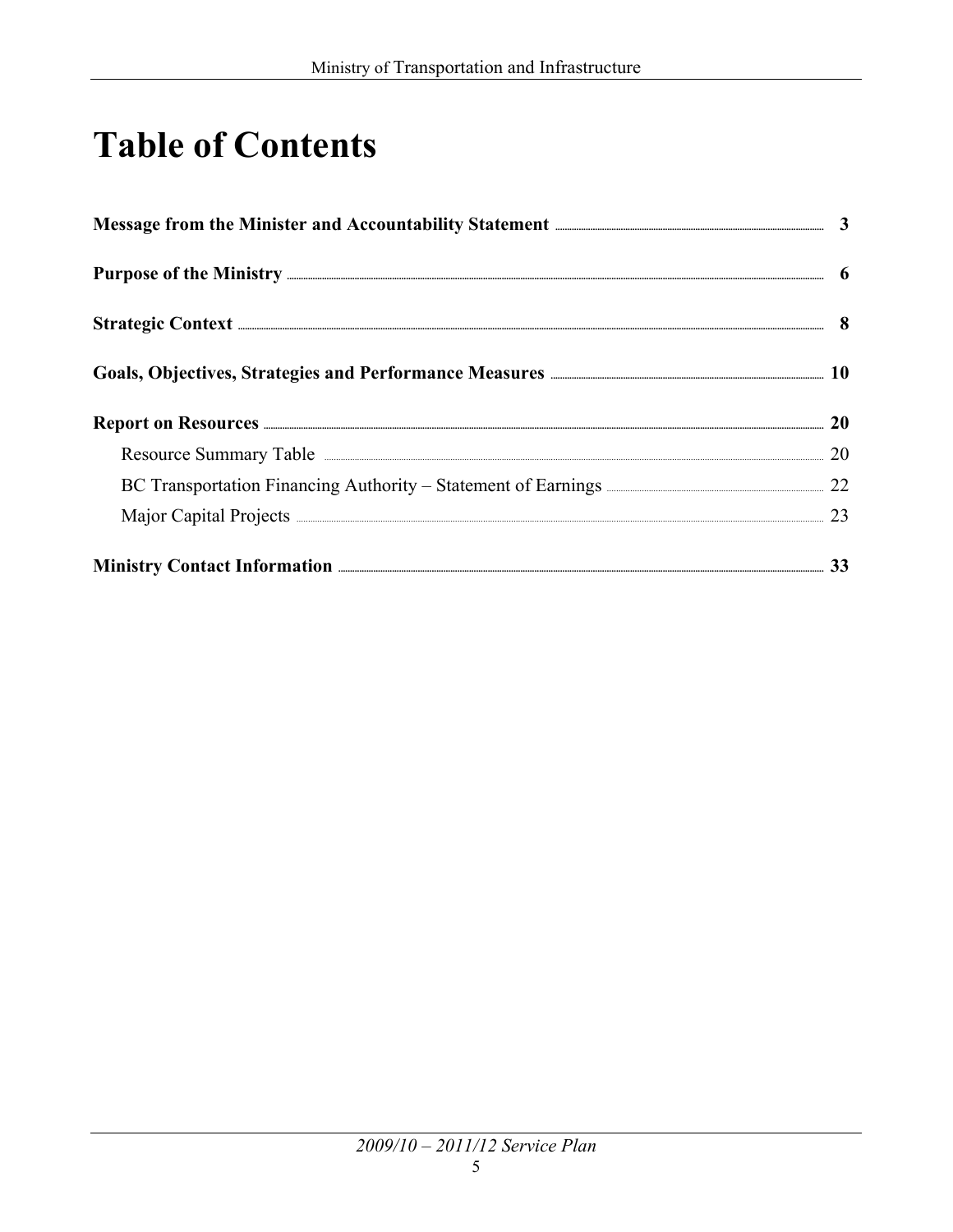## **Table of Contents**

| Message from the Minister and Accountability Statement <b>Election Controller and Accountability</b> Statement <b>Election</b> | $\mathbf{3}$ |
|--------------------------------------------------------------------------------------------------------------------------------|--------------|
|                                                                                                                                |              |
| Strategic Context <b>Executive Context</b>                                                                                     |              |
| Goals, Objectives, Strategies and Performance Measures <b>Entital Strategies</b> 10                                            |              |
|                                                                                                                                | 20           |
| Resource Summary Table <b>Exercise Summary Table</b>                                                                           | 20           |
| BC Transportation Financing Authority – Statement of Earnings <b>Election 22</b> 22                                            |              |
| Major Capital Projects <b>Major</b> Capital Projects <b>Capital Projects</b>                                                   | 23           |
|                                                                                                                                |              |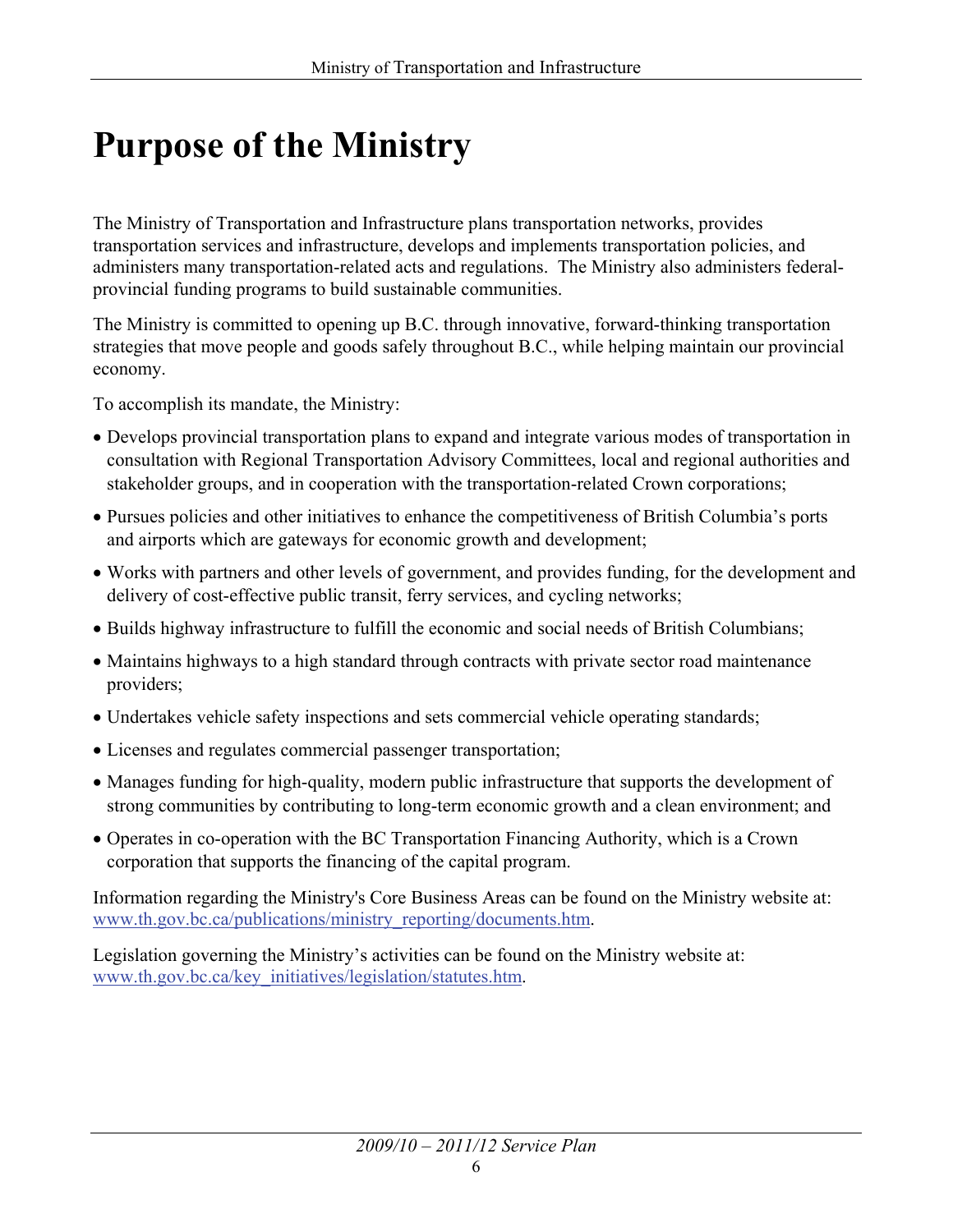## **Purpose of the Ministry**

The Ministry of Transportation and Infrastructure plans transportation networks, provides transportation services and infrastructure, develops and implements transportation policies, and administers many transportation-related acts and regulations. The Ministry also administers federalprovincial funding programs to build sustainable communities.

The Ministry is committed to opening up B.C. through innovative, forward-thinking transportation strategies that move people and goods safely throughout B.C., while helping maintain our provincial economy.

To accomplish its mandate, the Ministry:

- Develops provincial transportation plans to expand and integrate various modes of transportation in consultation with Regional Transportation Advisory Committees, local and regional authorities and stakeholder groups, and in cooperation with the transportation-related Crown corporations;
- x Pursues policies and other initiatives to enhance the competitiveness of British Columbia's ports and airports which are gateways for economic growth and development;
- Works with partners and other levels of government, and provides funding, for the development and delivery of cost-effective public transit, ferry services, and cycling networks;
- Builds highway infrastructure to fulfill the economic and social needs of British Columbians;
- Maintains highways to a high standard through contracts with private sector road maintenance providers;
- Undertakes vehicle safety inspections and sets commercial vehicle operating standards;
- Licenses and regulates commercial passenger transportation;
- Manages funding for high-quality, modern public infrastructure that supports the development of strong communities by contributing to long-term economic growth and a clean environment; and
- Operates in co-operation with the BC Transportation Financing Authority, which is a Crown corporation that supports the financing of the capital program.

Information regarding the Ministry's Core Business Areas can be found on the Ministry website at: [www.th.gov.bc.ca/publications/ministry\\_reporting/documents.htm.](http://www.th.gov.bc.ca/publications/ministry_reporting/documents.htm)

Legislation governing the Ministry's activities can be found on the Ministry website at: [www.th.gov.bc.ca/key\\_initiatives/legislation/statutes.htm.](http://www.th.gov.bc.ca/key_initiatives/legislation/statutes.htm)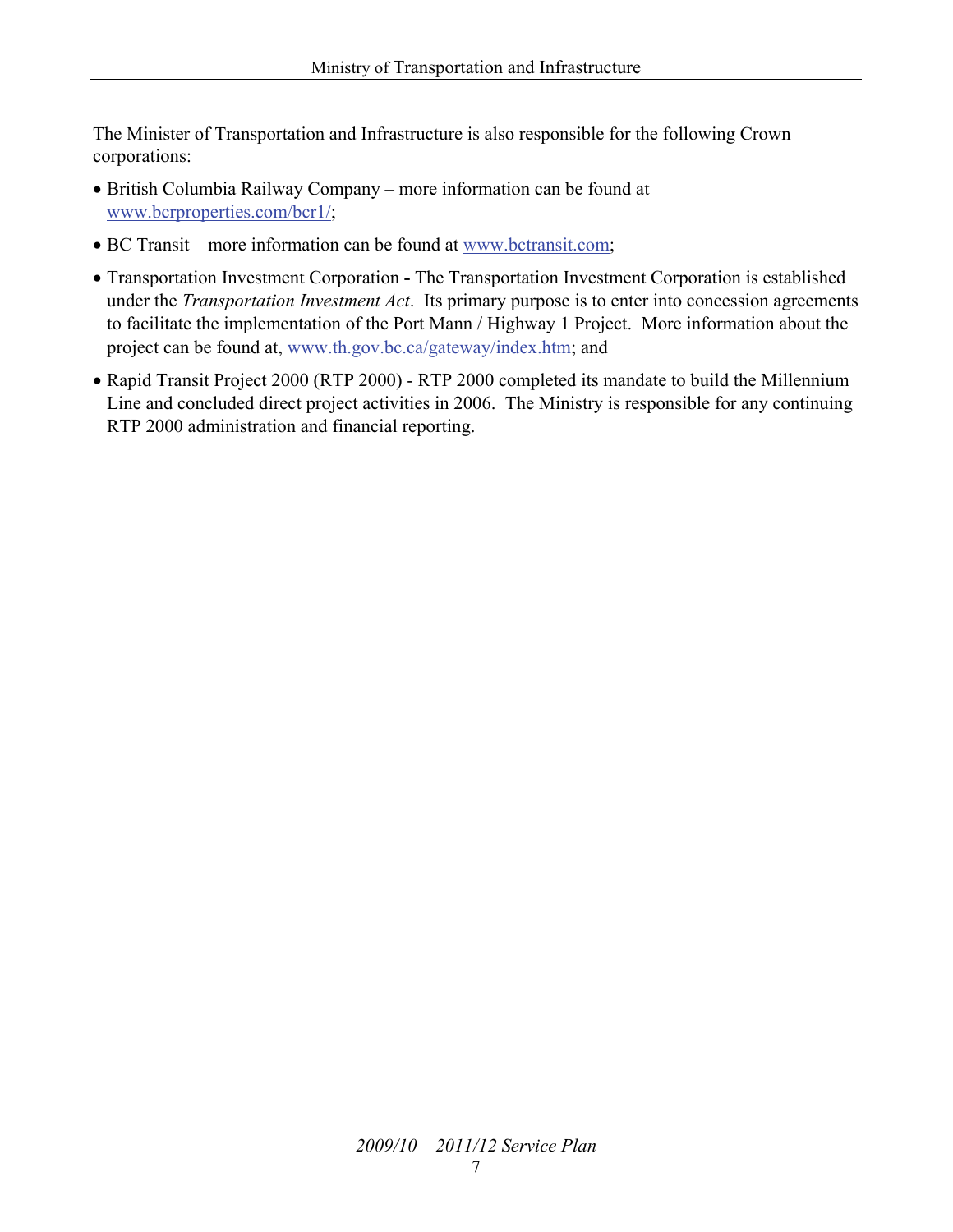The Minister of Transportation and Infrastructure is also responsible for the following Crown corporations:

- British Columbia Railway Company more information can be found at [www.bcrproperties.com/bcr1/;](http://www.bcrproperties.com/bcr1/)
- BC Transit more information can be found at [www.bctransit.com;](http://www.bctransit.com)
- Transportation Investment Corporation The Transportation Investment Corporation is established under the *Transportation Investment Act*. Its primary purpose is to enter into concession agreements to facilitate the implementation of the Port Mann / Highway 1 Project. More information about the project can be found at, [www.th.gov.bc.ca/gateway/index.htm;](http://www.th.gov.bc.ca/gateway/index.htm) and
- Rapid Transit Project 2000 (RTP 2000) RTP 2000 completed its mandate to build the Millennium Line and concluded direct project activities in 2006. The Ministry is responsible for any continuing RTP 2000 administration and financial reporting.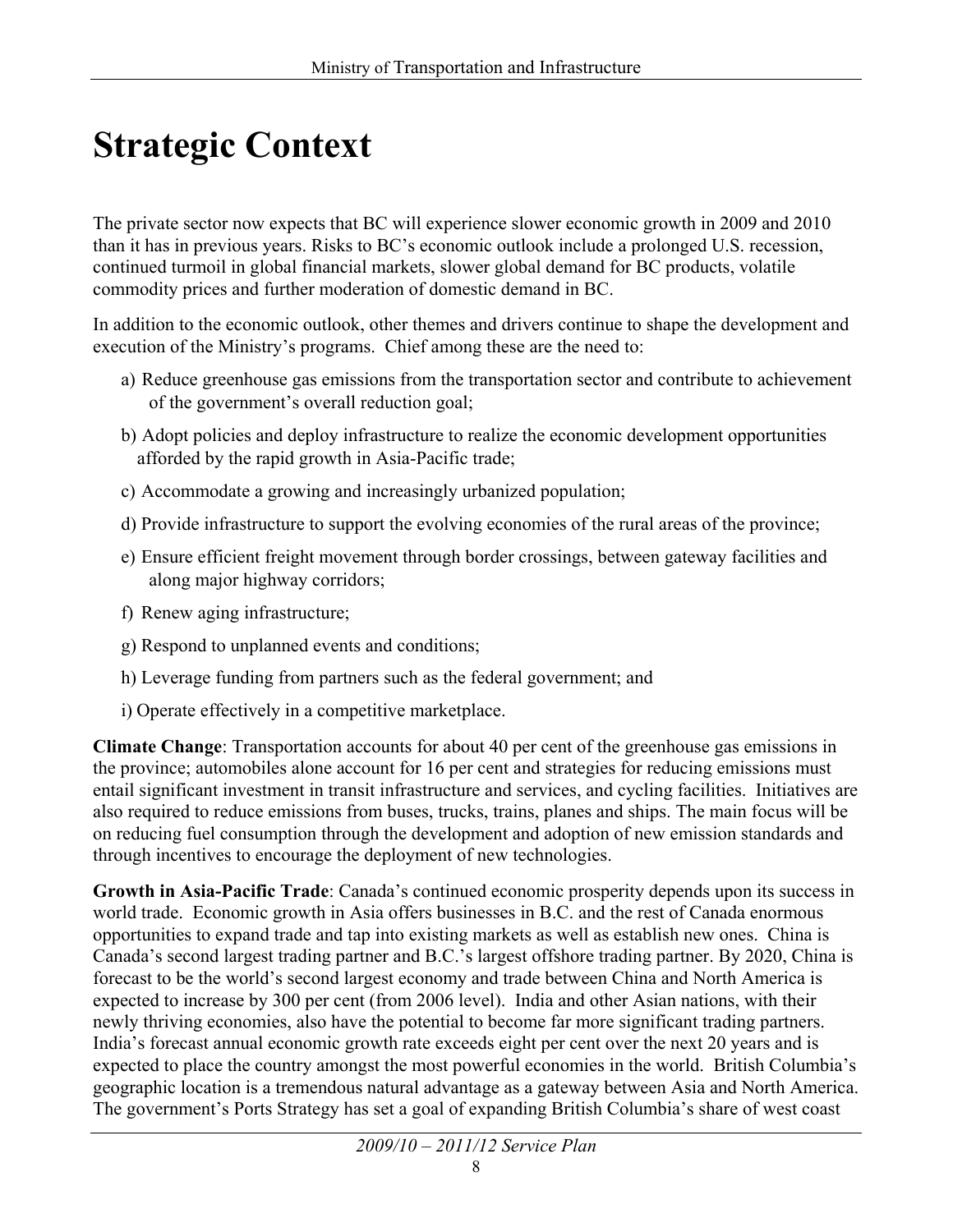## **Strategic Context**

The private sector now expects that BC will experience slower economic growth in 2009 and 2010 than it has in previous years. Risks to BC's economic outlook include a prolonged U.S. recession, continued turmoil in global financial markets, slower global demand for BC products, volatile commodity prices and further moderation of domestic demand in BC.

In addition to the economic outlook, other themes and drivers continue to shape the development and execution of the Ministry's programs. Chief among these are the need to:

- a) Reduce greenhouse gas emissions from the transportation sector and contribute to achievement of the government's overall reduction goal;
- b) Adopt policies and deploy infrastructure to realize the economic development opportunities afforded by the rapid growth in Asia-Pacific trade;
- c) Accommodate a growing and increasingly urbanized population;
- d) Provide infrastructure to support the evolving economies of the rural areas of the province;
- e) Ensure efficient freight movement through border crossings, between gateway facilities and along major highway corridors;
- f) Renew aging infrastructure;
- g) Respond to unplanned events and conditions;
- h) Leverage funding from partners such as the federal government; and
- i) Operate effectively in a competitive marketplace.

**Climate Change**: Transportation accounts for about 40 per cent of the greenhouse gas emissions in the province; automobiles alone account for 16 per cent and strategies for reducing emissions must entail significant investment in transit infrastructure and services, and cycling facilities. Initiatives are also required to reduce emissions from buses, trucks, trains, planes and ships. The main focus will be on reducing fuel consumption through the development and adoption of new emission standards and through incentives to encourage the deployment of new technologies.

**Growth in Asia-Pacific Trade**: Canada's continued economic prosperity depends upon its success in world trade. Economic growth in Asia offers businesses in B.C. and the rest of Canada enormous opportunities to expand trade and tap into existing markets as well as establish new ones. China is Canada's second largest trading partner and B.C.'s largest offshore trading partner. By 2020, China is forecast to be the world's second largest economy and trade between China and North America is expected to increase by 300 per cent (from 2006 level). India and other Asian nations, with their newly thriving economies, also have the potential to become far more significant trading partners. India's forecast annual economic growth rate exceeds eight per cent over the next 20 years and is expected to place the country amongst the most powerful economies in the world. British Columbia's geographic location is a tremendous natural advantage as a gateway between Asia and North America. The government's Ports Strategy has set a goal of expanding British Columbia's share of west coast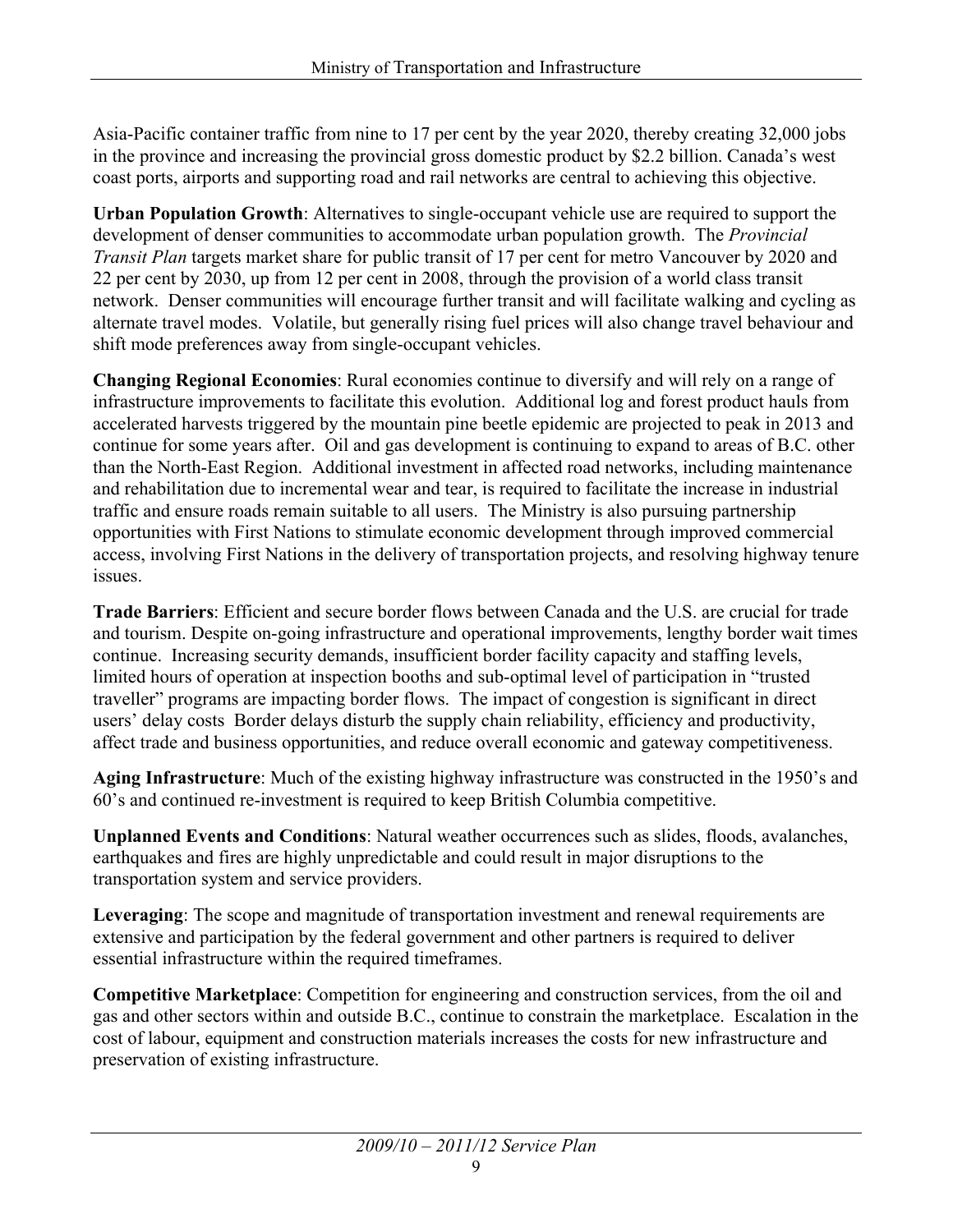Asia-Pacific container traffic from nine to 17 per cent by the year 2020, thereby creating 32,000 jobs in the province and increasing the provincial gross domestic product by \$2.2 billion. Canada's west coast ports, airports and supporting road and rail networks are central to achieving this objective.

**Urban Population Growth**: Alternatives to single-occupant vehicle use are required to support the development of denser communities to accommodate urban population growth. The *Provincial Transit Plan* targets market share for public transit of 17 per cent for metro Vancouver by 2020 and 22 per cent by 2030, up from 12 per cent in 2008, through the provision of a world class transit network. Denser communities will encourage further transit and will facilitate walking and cycling as alternate travel modes. Volatile, but generally rising fuel prices will also change travel behaviour and shift mode preferences away from single-occupant vehicles.

**Changing Regional Economies**: Rural economies continue to diversify and will rely on a range of infrastructure improvements to facilitate this evolution. Additional log and forest product hauls from accelerated harvests triggered by the mountain pine beetle epidemic are projected to peak in 2013 and continue for some years after. Oil and gas development is continuing to expand to areas of B.C. other than the North-East Region. Additional investment in affected road networks, including maintenance and rehabilitation due to incremental wear and tear, is required to facilitate the increase in industrial traffic and ensure roads remain suitable to all users. The Ministry is also pursuing partnership opportunities with First Nations to stimulate economic development through improved commercial access, involving First Nations in the delivery of transportation projects, and resolving highway tenure **issues** 

**Trade Barriers**: Efficient and secure border flows between Canada and the U.S. are crucial for trade and tourism. Despite on-going infrastructure and operational improvements, lengthy border wait times continue. Increasing security demands, insufficient border facility capacity and staffing levels, limited hours of operation at inspection booths and sub-optimal level of participation in "trusted traveller" programs are impacting border flows. The impact of congestion is significant in direct users' delay costs Border delays disturb the supply chain reliability, efficiency and productivity, affect trade and business opportunities, and reduce overall economic and gateway competitiveness.

**Aging Infrastructure**: Much of the existing highway infrastructure was constructed in the 1950's and 60's and continued re-investment is required to keep British Columbia competitive.

**Unplanned Events and Conditions**: Natural weather occurrences such as slides, floods, avalanches, earthquakes and fires are highly unpredictable and could result in major disruptions to the transportation system and service providers.

**Leveraging**: The scope and magnitude of transportation investment and renewal requirements are extensive and participation by the federal government and other partners is required to deliver essential infrastructure within the required timeframes.

**Competitive Marketplace**: Competition for engineering and construction services, from the oil and gas and other sectors within and outside B.C., continue to constrain the marketplace. Escalation in the cost of labour, equipment and construction materials increases the costs for new infrastructure and preservation of existing infrastructure.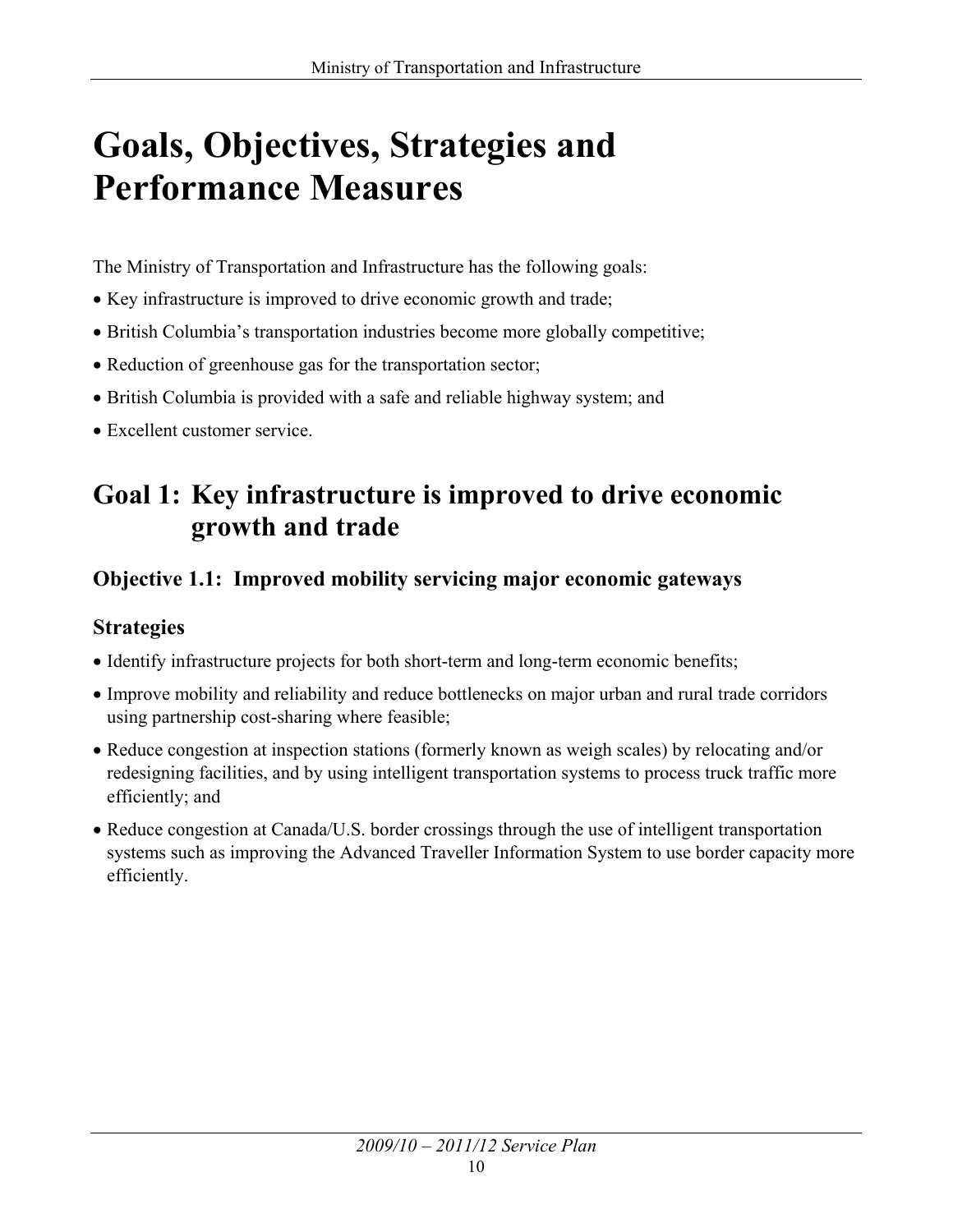## **Goals, Objectives, Strategies and Performance Measures**

The Ministry of Transportation and Infrastructure has the following goals:

- Key infrastructure is improved to drive economic growth and trade;
- British Columbia's transportation industries become more globally competitive;
- Reduction of greenhouse gas for the transportation sector;
- British Columbia is provided with a safe and reliable highway system; and
- Excellent customer service.

## **Goal 1: Key infrastructure is improved to drive economic growth and trade**

### **Objective 1.1: Improved mobility servicing major economic gateways**

#### **Strategies**

- Identify infrastructure projects for both short-term and long-term economic benefits;
- Improve mobility and reliability and reduce bottlenecks on major urban and rural trade corridors using partnership cost-sharing where feasible;
- Reduce congestion at inspection stations (formerly known as weigh scales) by relocating and/or redesigning facilities, and by using intelligent transportation systems to process truck traffic more efficiently; and
- Reduce congestion at Canada/U.S. border crossings through the use of intelligent transportation systems such as improving the Advanced Traveller Information System to use border capacity more efficiently.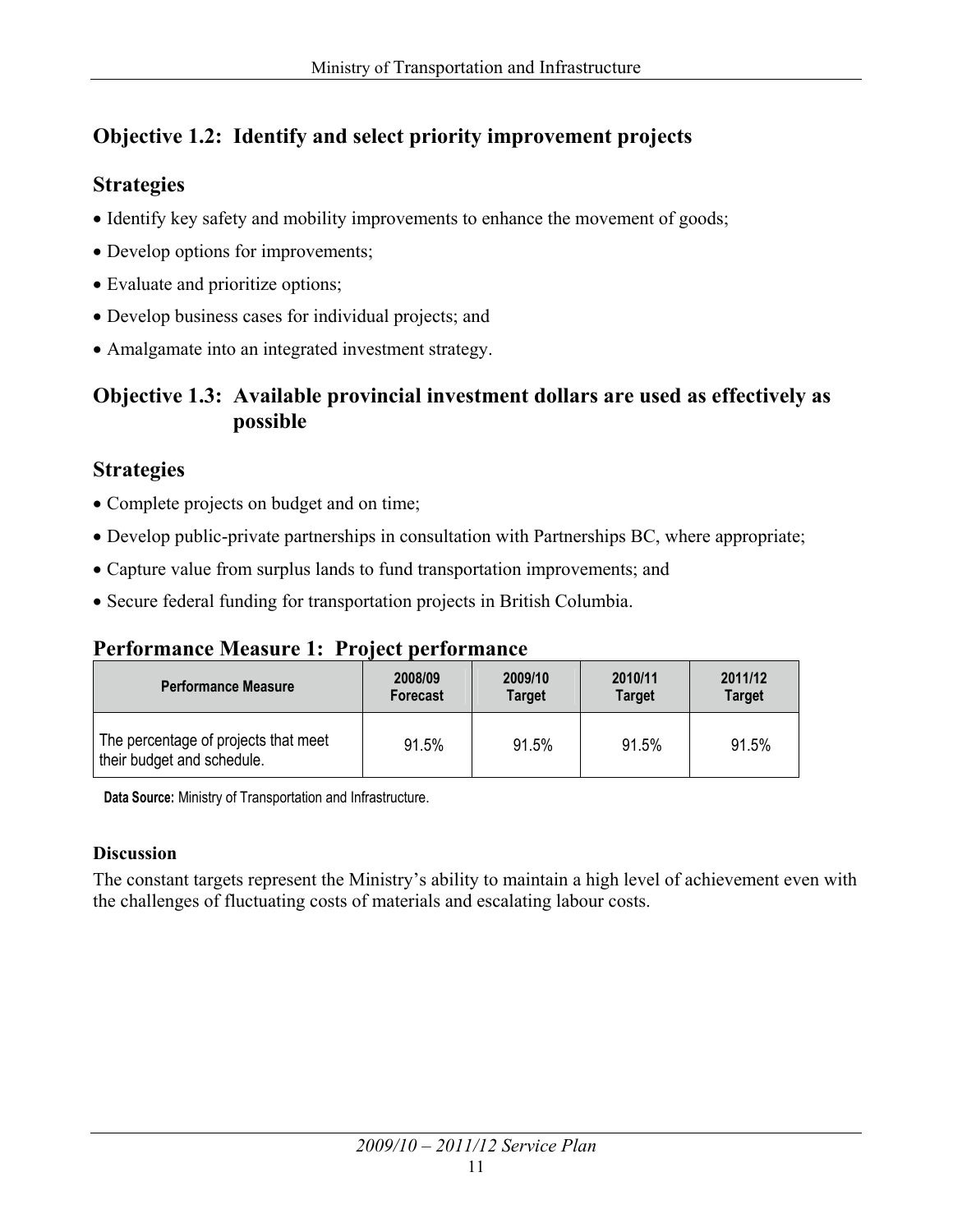#### **Objective 1.2: Identify and select priority improvement projects**

#### **Strategies**

- Identify key safety and mobility improvements to enhance the movement of goods;
- Develop options for improvements;
- Evaluate and prioritize options;
- Develop business cases for individual projects; and
- Amalgamate into an integrated investment strategy.

#### **Objective 1.3: Available provincial investment dollars are used as effectively as possible**

#### **Strategies**

- Complete projects on budget and on time;
- Develop public-private partnerships in consultation with Partnerships BC, where appropriate;
- Capture value from surplus lands to fund transportation improvements; and
- Secure federal funding for transportation projects in British Columbia.

### **Performance Measure 1: Project performance**

| <b>Performance Measure</b>                                         | 2008/09         | 2009/10 | 2010/11       | 2011/12       |
|--------------------------------------------------------------------|-----------------|---------|---------------|---------------|
|                                                                    | <b>Forecast</b> | Target  | <b>Target</b> | <b>Target</b> |
| The percentage of projects that meet<br>their budget and schedule. | 91.5%           | 91.5%   | 91.5%         | 91.5%         |

**Data Source:** Ministry of Transportation and Infrastructure.

#### **Discussion**

The constant targets represent the Ministry's ability to maintain a high level of achievement even with the challenges of fluctuating costs of materials and escalating labour costs.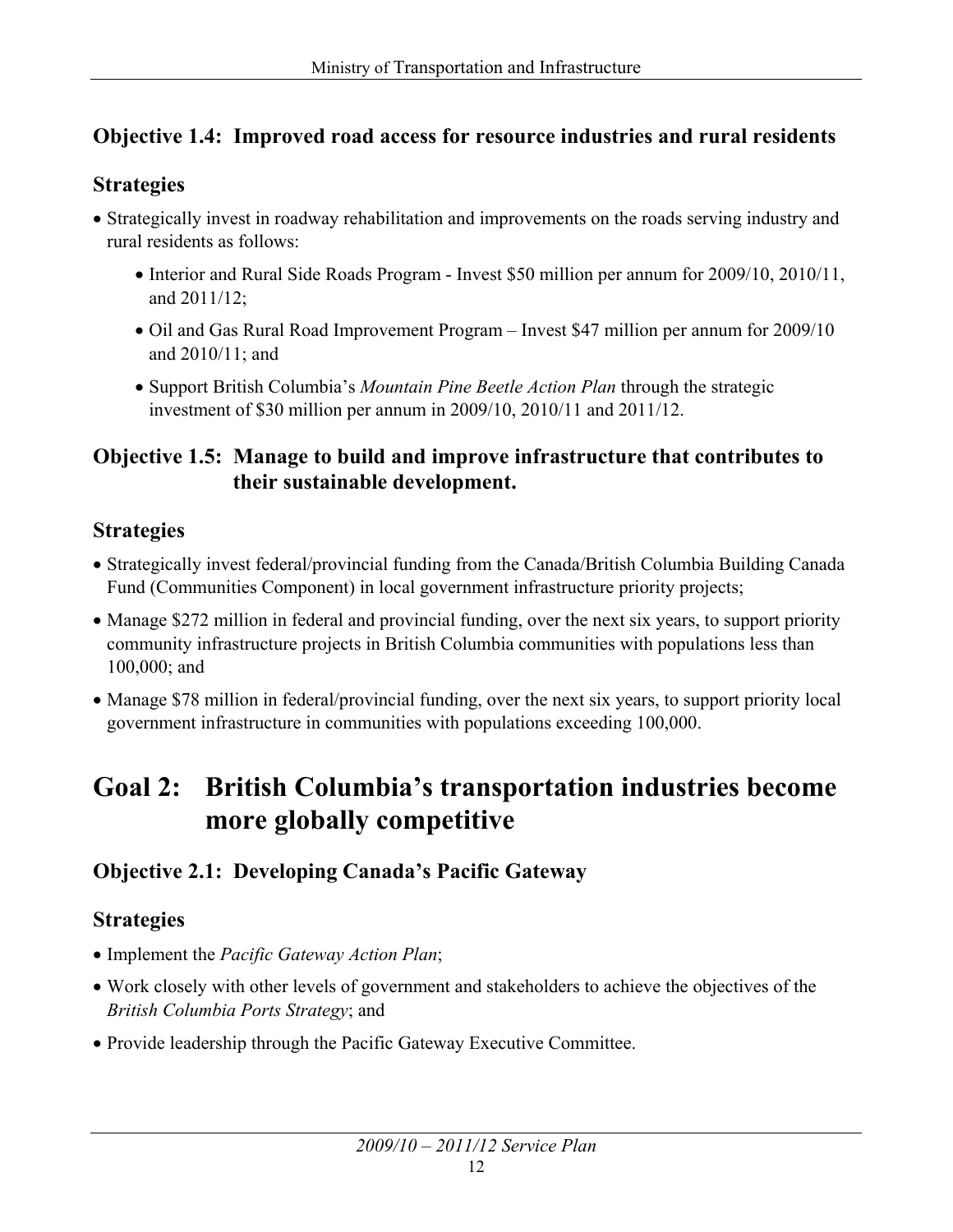#### **Objective 1.4: Improved road access for resource industries and rural residents**

#### **Strategies**

- Strategically invest in roadway rehabilitation and improvements on the roads serving industry and rural residents as follows:
	- Interior and Rural Side Roads Program Invest \$50 million per annum for 2009/10, 2010/11, and 2011/12;
	- Oil and Gas Rural Road Improvement Program Invest \$47 million per annum for 2009/10 and 2010/11; and
	- x Support British Columbia's *Mountain Pine Beetle Action Plan* through the strategic investment of \$30 million per annum in 2009/10, 2010/11 and 2011/12.

#### **Objective 1.5: Manage to build and improve infrastructure that contributes to their sustainable development.**

#### **Strategies**

- Strategically invest federal/provincial funding from the Canada/British Columbia Building Canada Fund (Communities Component) in local government infrastructure priority projects;
- Manage \$272 million in federal and provincial funding, over the next six years, to support priority community infrastructure projects in British Columbia communities with populations less than 100,000; and
- Manage \$78 million in federal/provincial funding, over the next six years, to support priority local government infrastructure in communities with populations exceeding 100,000.

### **Goal 2: British Columbia's transportation industries become more globally competitive**

#### **Objective 2.1: Developing Canada's Pacific Gateway**

#### **Strategies**

- x Implement the *Pacific Gateway Action Plan*;
- Work closely with other levels of government and stakeholders to achieve the objectives of the *British Columbia Ports Strategy*; and
- Provide leadership through the Pacific Gateway Executive Committee.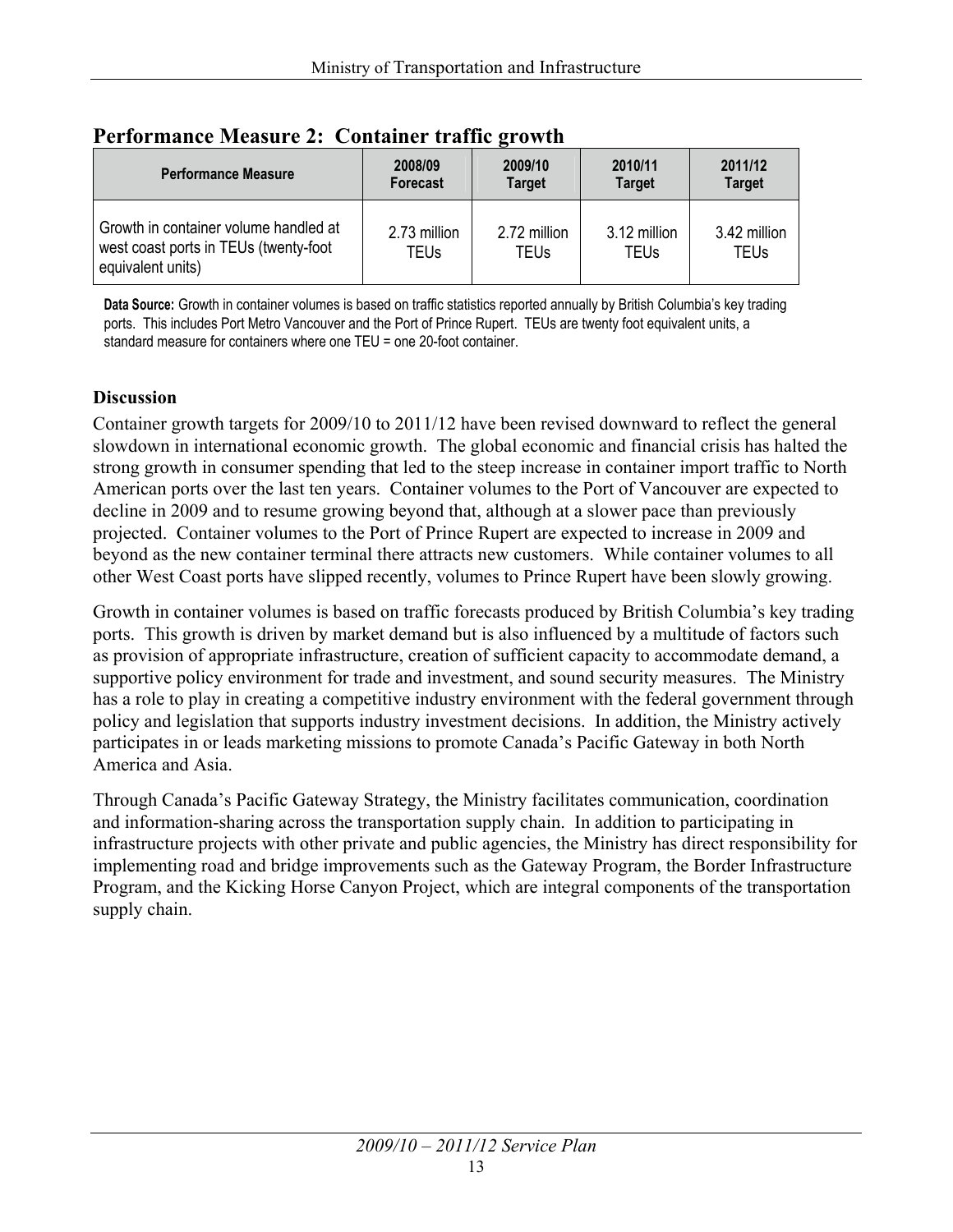| <b>Performance Measure</b>                                                                          | 2008/09<br>Forecast  | $\overline{\phantom{a}}$<br>2009/10<br><b>Target</b> | 2010/11<br><b>Target</b>    | 2011/12<br><b>Target</b> |
|-----------------------------------------------------------------------------------------------------|----------------------|------------------------------------------------------|-----------------------------|--------------------------|
| Growth in container volume handled at<br>west coast ports in TEUs (twenty-foot<br>equivalent units) | 2.73 million<br>TEUs | 2.72 million<br>TEUs                                 | 3.12 million<br><b>TEUs</b> | 3.42 million<br>TEUs     |

#### **Performance Measure 2: Container traffic growth**

**Data Source:** Growth in container volumes is based on traffic statistics reported annually by British Columbia's key trading ports. This includes Port Metro Vancouver and the Port of Prince Rupert. TEUs are twenty foot equivalent units, a standard measure for containers where one TEU = one 20-foot container.

#### **Discussion**

Container growth targets for 2009/10 to 2011/12 have been revised downward to reflect the general slowdown in international economic growth. The global economic and financial crisis has halted the strong growth in consumer spending that led to the steep increase in container import traffic to North American ports over the last ten years. Container volumes to the Port of Vancouver are expected to decline in 2009 and to resume growing beyond that, although at a slower pace than previously projected. Container volumes to the Port of Prince Rupert are expected to increase in 2009 and beyond as the new container terminal there attracts new customers. While container volumes to all other West Coast ports have slipped recently, volumes to Prince Rupert have been slowly growing.

Growth in container volumes is based on traffic forecasts produced by British Columbia's key trading ports. This growth is driven by market demand but is also influenced by a multitude of factors such as provision of appropriate infrastructure, creation of sufficient capacity to accommodate demand, a supportive policy environment for trade and investment, and sound security measures. The Ministry has a role to play in creating a competitive industry environment with the federal government through policy and legislation that supports industry investment decisions. In addition, the Ministry actively participates in or leads marketing missions to promote Canada's Pacific Gateway in both North America and Asia.

Through Canada's Pacific Gateway Strategy, the Ministry facilitates communication, coordination and information-sharing across the transportation supply chain. In addition to participating in infrastructure projects with other private and public agencies, the Ministry has direct responsibility for implementing road and bridge improvements such as the Gateway Program, the Border Infrastructure Program, and the Kicking Horse Canyon Project, which are integral components of the transportation supply chain.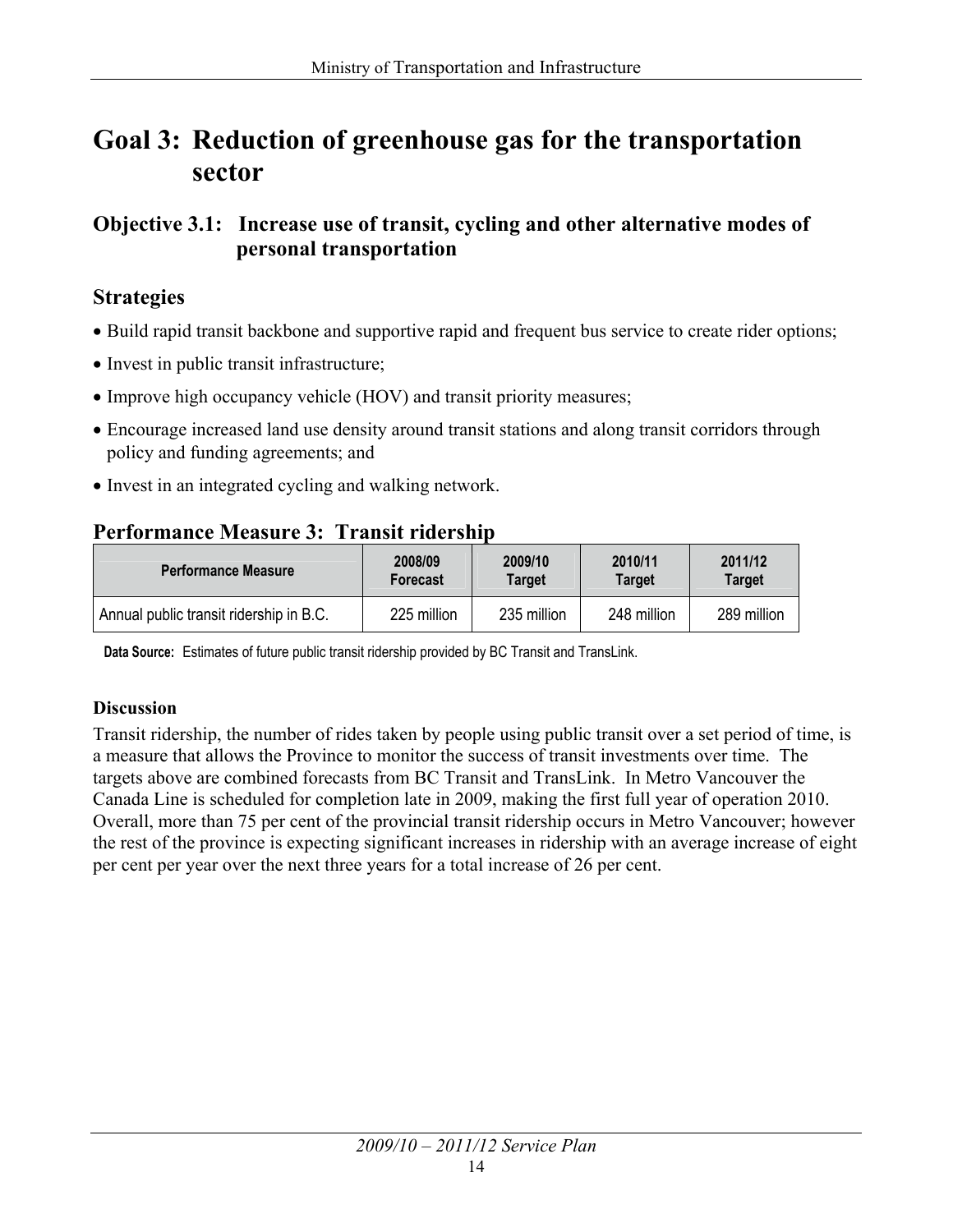### **Goal 3: Reduction of greenhouse gas for the transportation sector**

**Objective 3.1: Increase use of transit, cycling and other alternative modes of personal transportation** 

#### **Strategies**

- Build rapid transit backbone and supportive rapid and frequent bus service to create rider options;
- Invest in public transit infrastructure;
- Improve high occupancy vehicle (HOV) and transit priority measures;
- Encourage increased land use density around transit stations and along transit corridors through policy and funding agreements; and
- Invest in an integrated cycling and walking network.

### **Performance Measure 3: Transit ridership**

| <b>Performance Measure</b>              | 2008/09     | 2009/10     | 2010/11       | 2011/12     |
|-----------------------------------------|-------------|-------------|---------------|-------------|
|                                         | Forecast    | Target      | <b>Target</b> | Target      |
| Annual public transit ridership in B.C. | 225 million | 235 million | 248 million   | 289 million |

**Data Source:** Estimates of future public transit ridership provided by BC Transit and TransLink.

#### **Discussion**

Transit ridership, the number of rides taken by people using public transit over a set period of time, is a measure that allows the Province to monitor the success of transit investments over time. The targets above are combined forecasts from BC Transit and TransLink. In Metro Vancouver the Canada Line is scheduled for completion late in 2009, making the first full year of operation 2010. Overall, more than 75 per cent of the provincial transit ridership occurs in Metro Vancouver; however the rest of the province is expecting significant increases in ridership with an average increase of eight per cent per year over the next three years for a total increase of 26 per cent.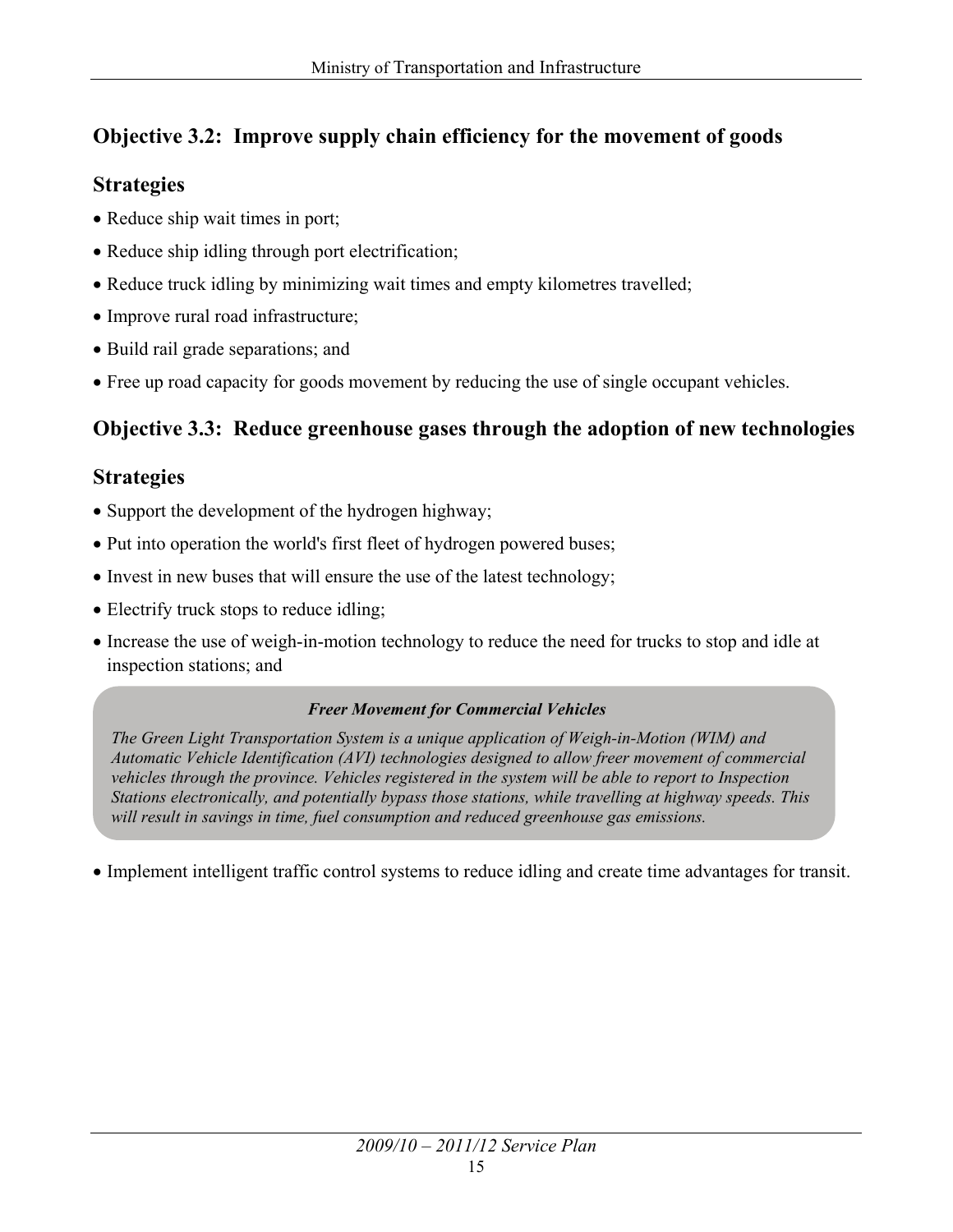#### **Objective 3.2: Improve supply chain efficiency for the movement of goods**

#### **Strategies**

- Reduce ship wait times in port;
- Reduce ship idling through port electrification;
- Reduce truck idling by minimizing wait times and empty kilometres travelled;
- Improve rural road infrastructure;
- Build rail grade separations; and
- Free up road capacity for goods movement by reducing the use of single occupant vehicles.

#### **Objective 3.3: Reduce greenhouse gases through the adoption of new technologies**

#### **Strategies**

- Support the development of the hydrogen highway;
- Put into operation the world's first fleet of hydrogen powered buses;
- Invest in new buses that will ensure the use of the latest technology;
- Electrify truck stops to reduce idling;
- Increase the use of weigh-in-motion technology to reduce the need for trucks to stop and idle at inspection stations; and

#### *Freer Movement for Commercial Vehicles*

*The Green Light Transportation System is a unique application of Weigh-in-Motion (WIM) and Automatic Vehicle Identification (AVI) technologies designed to allow freer movement of commercial vehicles through the province. Vehicles registered in the system will be able to report to Inspection Stations electronically, and potentially bypass those stations, while travelling at highway speeds. This will result in savings in time, fuel consumption and reduced greenhouse gas emissions.* 

• Implement intelligent traffic control systems to reduce idling and create time advantages for transit.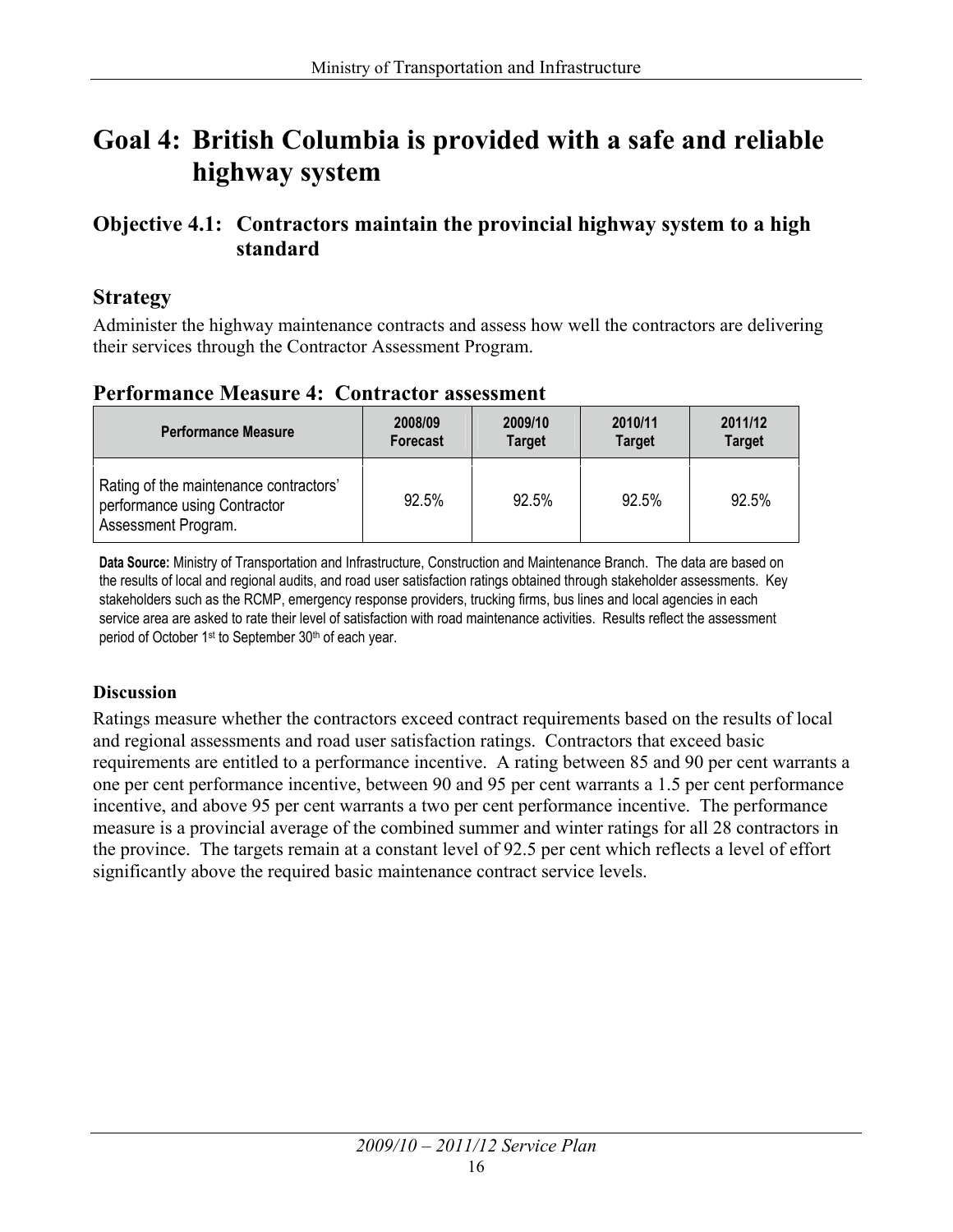### **Goal 4: British Columbia is provided with a safe and reliable highway system**

#### **Objective 4.1: Contractors maintain the provincial highway system to a high standard**

#### **Strategy**

Administer the highway maintenance contracts and assess how well the contractors are delivering their services through the Contractor Assessment Program.

#### **Performance Measure 4: Contractor assessment**

| <b>Performance Measure</b>                                                                    | 2008/09  | 2009/10       | 2010/11       | 2011/12       |
|-----------------------------------------------------------------------------------------------|----------|---------------|---------------|---------------|
|                                                                                               | Forecast | <b>Target</b> | <b>Target</b> | <b>Target</b> |
| Rating of the maintenance contractors'<br>performance using Contractor<br>Assessment Program. | 92.5%    | 92.5%         | 92.5%         | 92.5%         |

**Data Source:** Ministry of Transportation and Infrastructure, Construction and Maintenance Branch. The data are based on the results of local and regional audits, and road user satisfaction ratings obtained through stakeholder assessments. Key stakeholders such as the RCMP, emergency response providers, trucking firms, bus lines and local agencies in each service area are asked to rate their level of satisfaction with road maintenance activities. Results reflect the assessment period of October 1<sup>st</sup> to September 30<sup>th</sup> of each year.

#### **Discussion**

Ratings measure whether the contractors exceed contract requirements based on the results of local and regional assessments and road user satisfaction ratings. Contractors that exceed basic requirements are entitled to a performance incentive. A rating between 85 and 90 per cent warrants a one per cent performance incentive, between 90 and 95 per cent warrants a 1.5 per cent performance incentive, and above 95 per cent warrants a two per cent performance incentive. The performance measure is a provincial average of the combined summer and winter ratings for all 28 contractors in the province. The targets remain at a constant level of 92.5 per cent which reflects a level of effort significantly above the required basic maintenance contract service levels.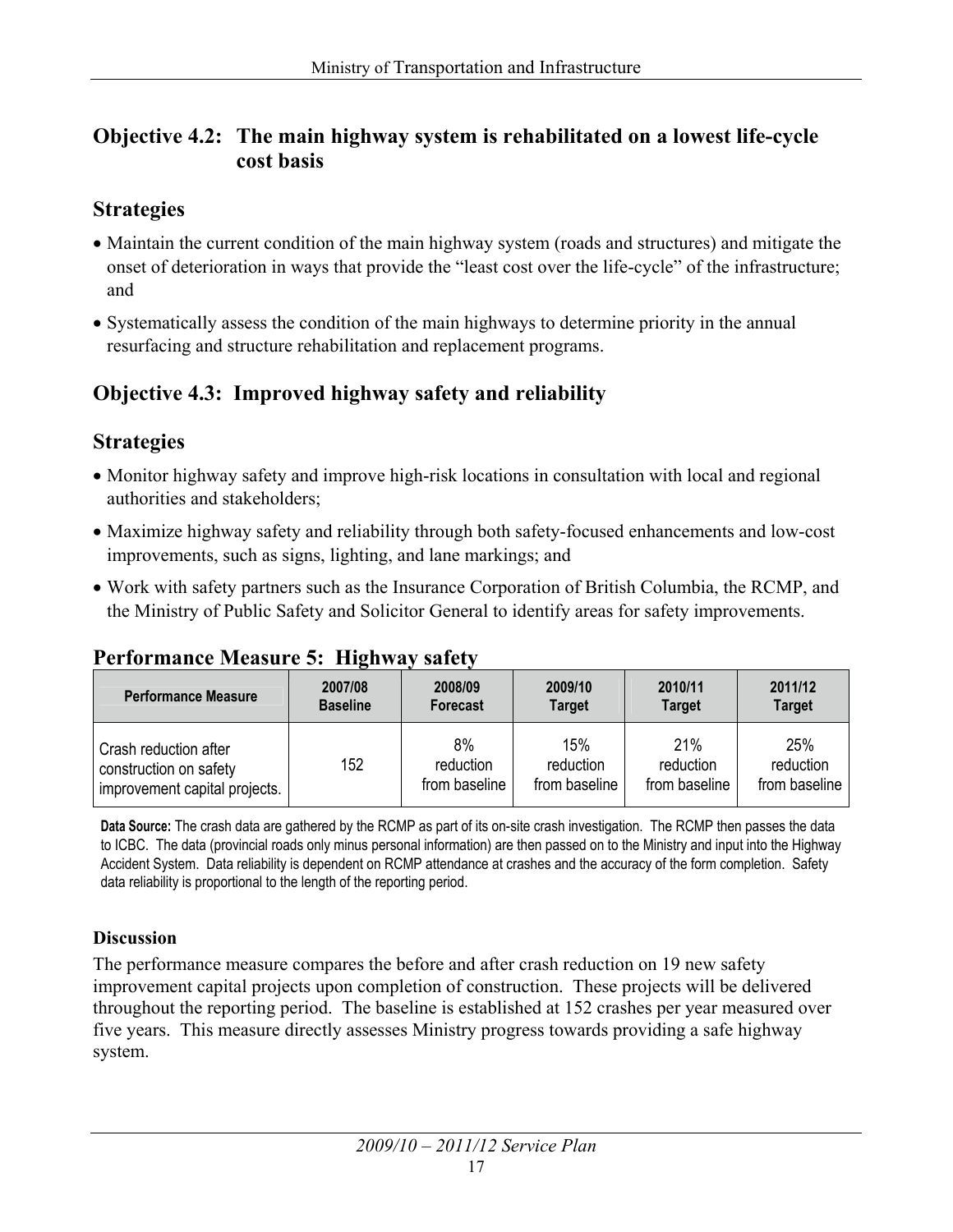#### **Objective 4.2: The main highway system is rehabilitated on a lowest life-cycle cost basis**

#### **Strategies**

- Maintain the current condition of the main highway system (roads and structures) and mitigate the onset of deterioration in ways that provide the "least cost over the life-cycle" of the infrastructure; and
- Systematically assess the condition of the main highways to determine priority in the annual resurfacing and structure rehabilitation and replacement programs.

#### **Objective 4.3: Improved highway safety and reliability**

#### **Strategies**

- Monitor highway safety and improve high-risk locations in consultation with local and regional authorities and stakeholders;
- Maximize highway safety and reliability through both safety-focused enhancements and low-cost improvements, such as signs, lighting, and lane markings; and
- Work with safety partners such as the Insurance Corporation of British Columbia, the RCMP, and the Ministry of Public Safety and Solicitor General to identify areas for safety improvements.

#### **Performance Measure 5: Highway safety**

| <b>Performance Measure</b>    | 2007/08         | 2008/09         | 2009/10       | 2010/11       | 2011/12       |
|-------------------------------|-----------------|-----------------|---------------|---------------|---------------|
|                               | <b>Baseline</b> | <b>Forecast</b> | <b>Target</b> | <b>Target</b> | <b>Target</b> |
| Crash reduction after         | 152             | 8%              | 15%           | 21%           | 25%           |
| construction on safety        |                 | reduction       | reduction     | reduction     | reduction     |
| improvement capital projects. |                 | from baseline   | from baseline | from baseline | from baseline |

 **Data Source:** The crash data are gathered by the RCMP as part of its on-site crash investigation. The RCMP then passes the data to ICBC. The data (provincial roads only minus personal information) are then passed on to the Ministry and input into the Highway Accident System. Data reliability is dependent on RCMP attendance at crashes and the accuracy of the form completion. Safety data reliability is proportional to the length of the reporting period.

#### **Discussion**

The performance measure compares the before and after crash reduction on 19 new safety improvement capital projects upon completion of construction. These projects will be delivered throughout the reporting period. The baseline is established at 152 crashes per year measured over five years. This measure directly assesses Ministry progress towards providing a safe highway system.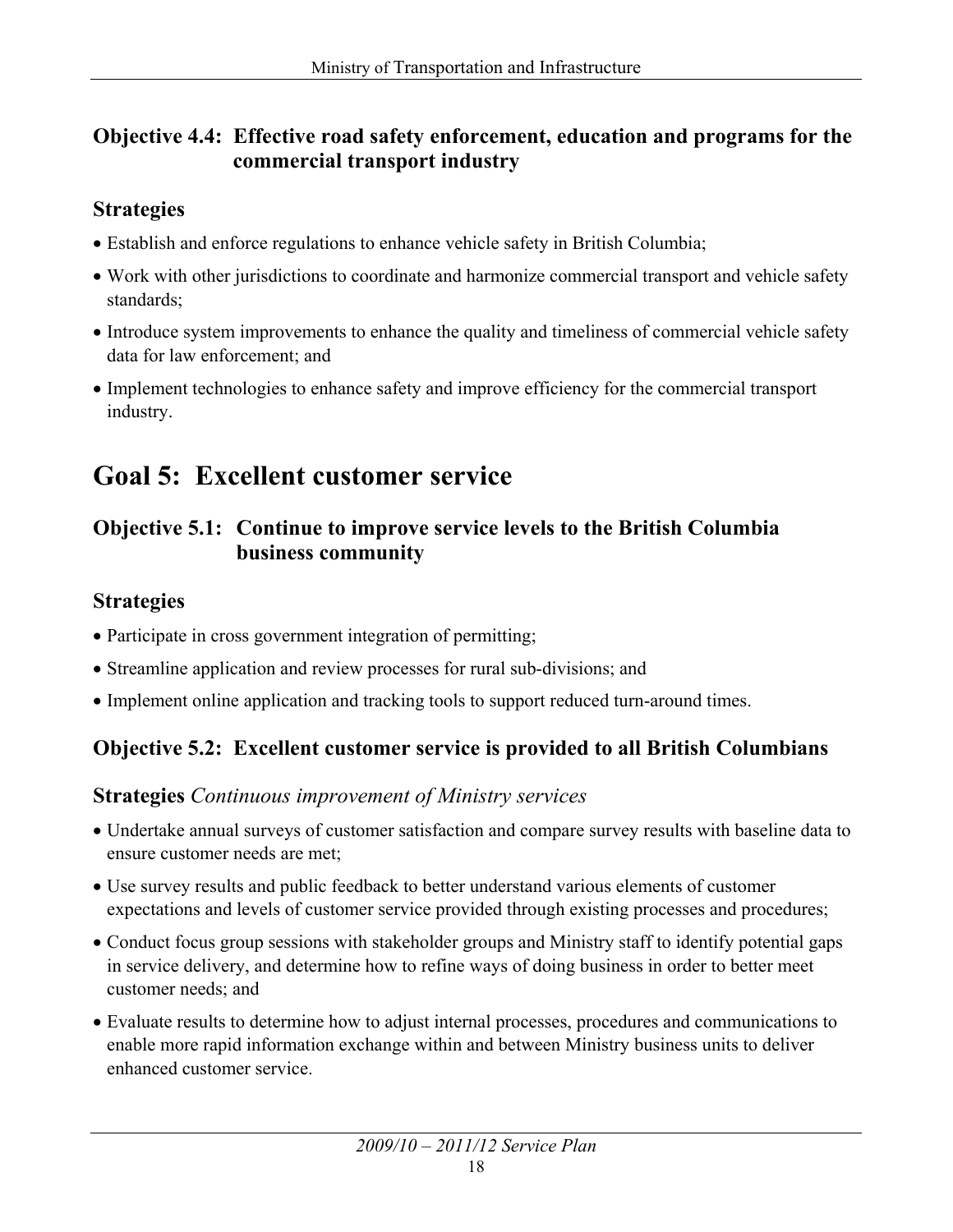#### **Objective 4.4: Effective road safety enforcement, education and programs for the commercial transport industry**

#### **Strategies**

- Establish and enforce regulations to enhance vehicle safety in British Columbia;
- Work with other jurisdictions to coordinate and harmonize commercial transport and vehicle safety standards;
- Introduce system improvements to enhance the quality and timeliness of commercial vehicle safety data for law enforcement; and
- Implement technologies to enhance safety and improve efficiency for the commercial transport industry.

## **Goal 5: Excellent customer service**

#### **Objective 5.1: Continue to improve service levels to the British Columbia business community**

#### **Strategies**

- Participate in cross government integration of permitting;
- Streamline application and review processes for rural sub-divisions; and
- Implement online application and tracking tools to support reduced turn-around times.

#### **Objective 5.2: Excellent customer service is provided to all British Columbians**

#### **Strategies** *Continuous improvement of Ministry services*

- Undertake annual surveys of customer satisfaction and compare survey results with baseline data to ensure customer needs are met;
- Use survey results and public feedback to better understand various elements of customer expectations and levels of customer service provided through existing processes and procedures;
- Conduct focus group sessions with stakeholder groups and Ministry staff to identify potential gaps in service delivery, and determine how to refine ways of doing business in order to better meet customer needs; and
- Evaluate results to determine how to adjust internal processes, procedures and communications to enable more rapid information exchange within and between Ministry business units to deliver enhanced customer service.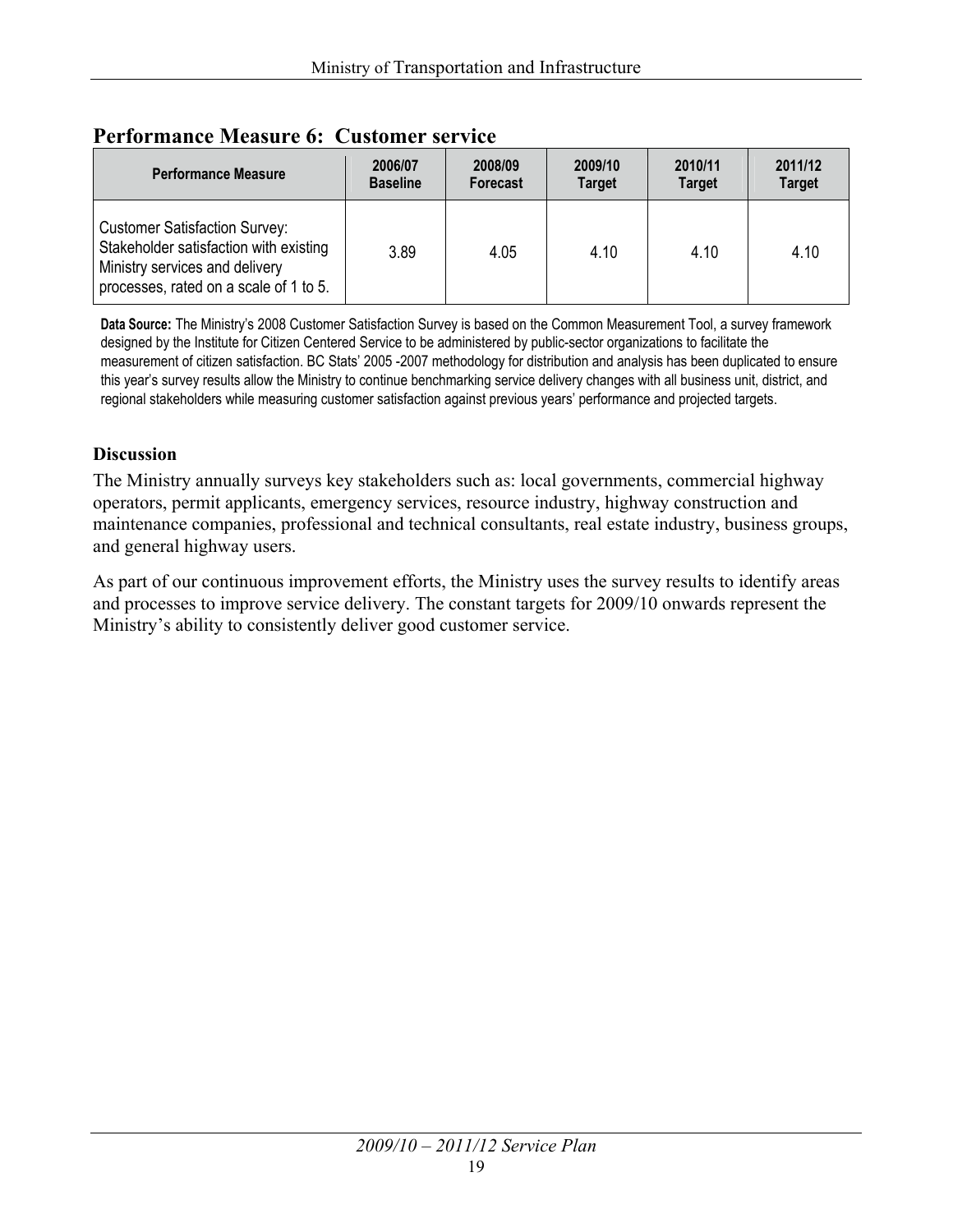| <b>Performance Measure</b>                                                                                                                                 | 2006/07         | 2008/09  | 2009/10       | 2010/11       | 2011/12       |
|------------------------------------------------------------------------------------------------------------------------------------------------------------|-----------------|----------|---------------|---------------|---------------|
|                                                                                                                                                            | <b>Baseline</b> | Forecast | <b>Target</b> | <b>Target</b> | <b>Target</b> |
| <b>Customer Satisfaction Survey:</b><br>Stakeholder satisfaction with existing<br>Ministry services and delivery<br>processes, rated on a scale of 1 to 5. | 3.89            | 4.05     | 4.10          | 4.10          | 4.10          |

#### **Performance Measure 6: Customer service**

 **Data Source:** The Ministry's 2008 Customer Satisfaction Survey is based on the Common Measurement Tool, a survey framework designed by the Institute for Citizen Centered Service to be administered by public-sector organizations to facilitate the measurement of citizen satisfaction. BC Stats' 2005 -2007 methodology for distribution and analysis has been duplicated to ensure this year's survey results allow the Ministry to continue benchmarking service delivery changes with all business unit, district, and regional stakeholders while measuring customer satisfaction against previous years' performance and projected targets.

#### **Discussion**

The Ministry annually surveys key stakeholders such as: local governments, commercial highway operators, permit applicants, emergency services, resource industry, highway construction and maintenance companies, professional and technical consultants, real estate industry, business groups, and general highway users.

As part of our continuous improvement efforts, the Ministry uses the survey results to identify areas and processes to improve service delivery. The constant targets for 2009/10 onwards represent the Ministry's ability to consistently deliver good customer service.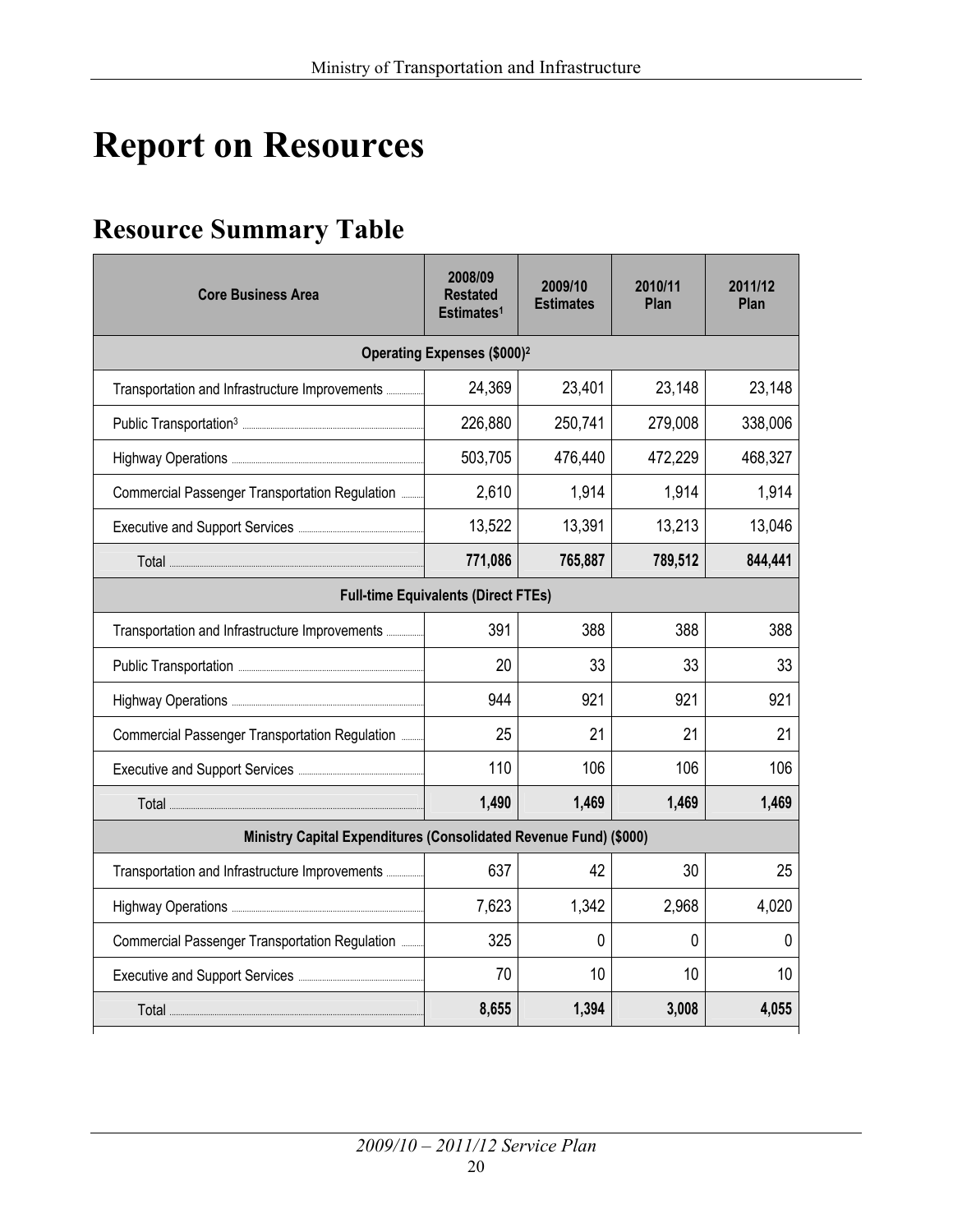## **Report on Resources**

## **Resource Summary Table**

| <b>Core Business Area</b>                                         | 2008/09<br><b>Restated</b><br>Estimates <sup>1</sup> | 2009/10<br><b>Estimates</b> | 2010/11<br>Plan | 2011/12<br>Plan |
|-------------------------------------------------------------------|------------------------------------------------------|-----------------------------|-----------------|-----------------|
|                                                                   | Operating Expenses (\$000) <sup>2</sup>              |                             |                 |                 |
|                                                                   | 24,369                                               | 23,401                      | 23,148          | 23,148          |
|                                                                   | 226,880                                              | 250,741                     | 279,008         | 338,006         |
|                                                                   | 503,705                                              | 476,440                     | 472,229         | 468,327         |
| Commercial Passenger Transportation Regulation                    | 2,610                                                | 1,914                       | 1,914           | 1,914           |
|                                                                   | 13,522                                               | 13,391                      | 13,213          | 13,046          |
|                                                                   | 771,086                                              | 765,887                     | 789,512         | 844,441         |
|                                                                   | <b>Full-time Equivalents (Direct FTEs)</b>           |                             |                 |                 |
| Transportation and Infrastructure Improvements                    | 391                                                  | 388                         | 388             | 388             |
|                                                                   | 20                                                   | 33                          | 33              | 33              |
|                                                                   | 944                                                  | 921                         | 921             | 921             |
| Commercial Passenger Transportation Regulation                    | 25                                                   | 21                          | 21              | 21              |
|                                                                   | 110                                                  | 106                         | 106             | 106             |
|                                                                   | 1,490                                                | 1,469                       | 1,469           | 1,469           |
| Ministry Capital Expenditures (Consolidated Revenue Fund) (\$000) |                                                      |                             |                 |                 |
|                                                                   | 637                                                  | 42                          | 30              | 25              |
|                                                                   | 7,623                                                | 1,342                       | 2,968           | 4,020           |
| Commercial Passenger Transportation Regulation                    | 325                                                  | 0                           | 0               | 0               |
|                                                                   | 70                                                   | 10                          | 10              | 10              |
|                                                                   | 8,655                                                | 1,394                       | 3,008           | 4,055           |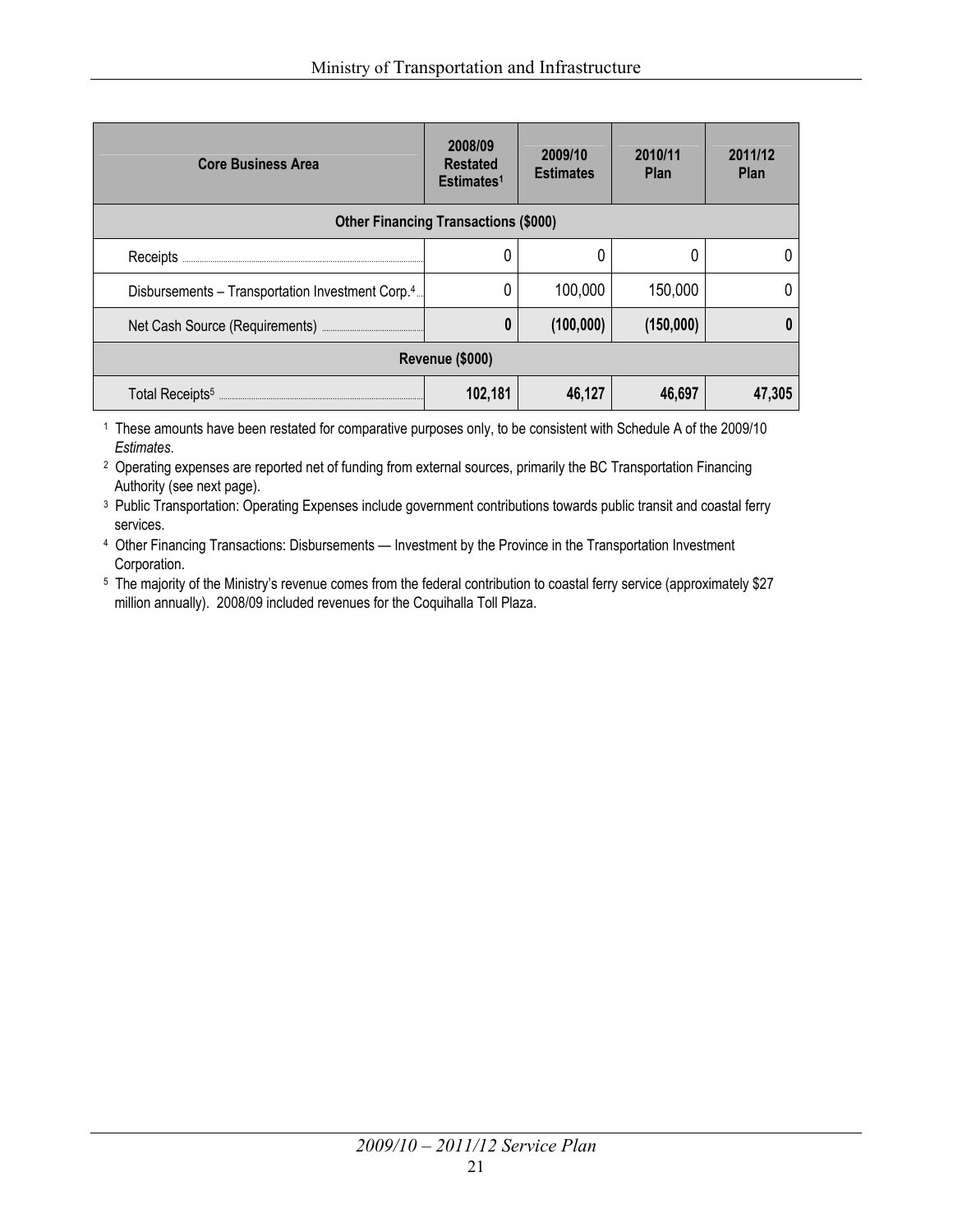| <b>Core Business Area</b>                                    | 2008/09<br><b>Restated</b><br>Estimates <sup>1</sup> | 2009/10<br><b>Estimates</b> | 2010/11<br><b>Plan</b> | 2011/12<br><b>Plan</b> |  |
|--------------------------------------------------------------|------------------------------------------------------|-----------------------------|------------------------|------------------------|--|
| <b>Other Financing Transactions (\$000)</b>                  |                                                      |                             |                        |                        |  |
| Receipts                                                     |                                                      |                             |                        |                        |  |
| Disbursements - Transportation Investment Corp. <sup>4</sup> |                                                      | 100,000                     | 150,000                |                        |  |
|                                                              | 0                                                    | (100,000)                   | (150,000)              |                        |  |
| Revenue (\$000)                                              |                                                      |                             |                        |                        |  |
| Total Receipts <sup>5</sup>                                  | 102,181                                              | 46,127                      | 46,697                 | 47,305                 |  |

1 These amounts have been restated for comparative purposes only, to be consistent with Schedule A of the 2009/10 *Estimates*.

<sup>2</sup> Operating expenses are reported net of funding from external sources, primarily the BC Transportation Financing Authority (see next page).

<sup>3</sup> Public Transportation: Operating Expenses include government contributions towards public transit and coastal ferry services.

4 Other Financing Transactions: Disbursements — Investment by the Province in the Transportation Investment Corporation.

<sup>5</sup> The majority of the Ministry's revenue comes from the federal contribution to coastal ferry service (approximately \$27 million annually). 2008/09 included revenues for the Coquihalla Toll Plaza.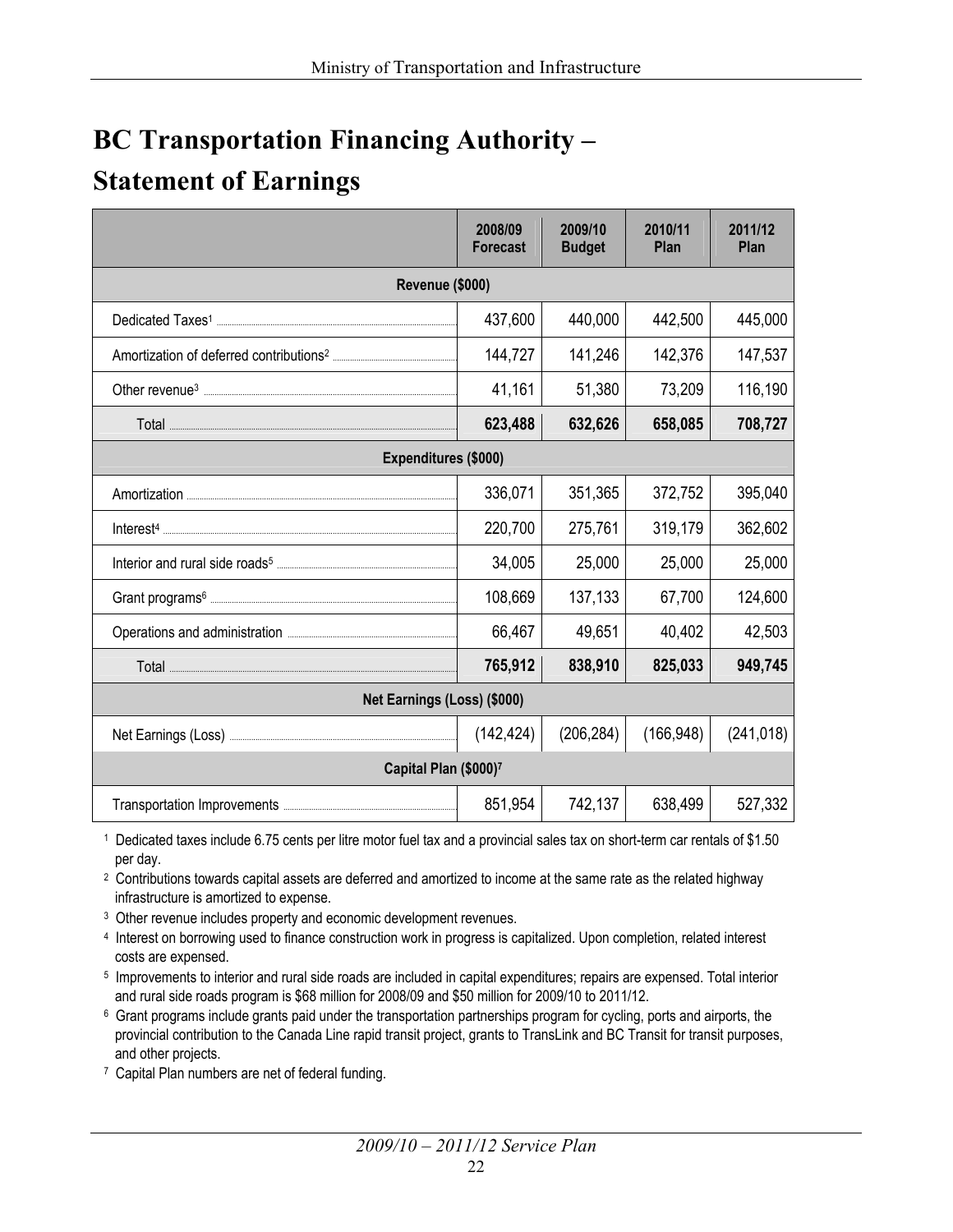## **BC Transportation Financing Authority – Statement of Earnings**

|                             | 2008/09<br><b>Forecast</b> | 2009/10<br><b>Budget</b> | 2010/11<br>Plan | 2011/12<br>Plan |  |  |
|-----------------------------|----------------------------|--------------------------|-----------------|-----------------|--|--|
| Revenue (\$000)             |                            |                          |                 |                 |  |  |
|                             | 437,600                    | 440,000                  | 442,500         | 445,000         |  |  |
|                             | 144,727                    | 141,246                  | 142,376         | 147,537         |  |  |
|                             | 41,161                     | 51,380                   | 73,209          | 116,190         |  |  |
|                             | 623,488                    | 632,626                  | 658,085         | 708,727         |  |  |
| Expenditures (\$000)        |                            |                          |                 |                 |  |  |
|                             | 336,071                    | 351,365                  | 372,752         | 395,040         |  |  |
|                             | 220,700                    | 275,761                  | 319,179         | 362,602         |  |  |
|                             | 34,005                     | 25,000                   | 25,000          | 25,000          |  |  |
|                             | 108,669                    | 137,133                  | 67,700          | 124,600         |  |  |
|                             | 66,467                     | 49,651                   | 40,402          | 42,503          |  |  |
|                             | 765,912                    | 838,910                  | 825,033         | 949,745         |  |  |
| Net Earnings (Loss) (\$000) |                            |                          |                 |                 |  |  |
|                             | (142, 424)                 | (206, 284)               | (166, 948)      | (241, 018)      |  |  |
| Capital Plan (\$000)7       |                            |                          |                 |                 |  |  |
|                             | 851,954                    | 742,137                  | 638,499         | 527,332         |  |  |

1 Dedicated taxes include 6.75 cents per litre motor fuel tax and a provincial sales tax on short-term car rentals of \$1.50 per day.

2 Contributions towards capital assets are deferred and amortized to income at the same rate as the related highway infrastructure is amortized to expense.

<sup>3</sup> Other revenue includes property and economic development revenues.

4 Interest on borrowing used to finance construction work in progress is capitalized. Upon completion, related interest costs are expensed.

5 Improvements to interior and rural side roads are included in capital expenditures; repairs are expensed. Total interior and rural side roads program is \$68 million for 2008/09 and \$50 million for 2009/10 to 2011/12.

<sup>6</sup> Grant programs include grants paid under the transportation partnerships program for cycling, ports and airports, the provincial contribution to the Canada Line rapid transit project, grants to TransLink and BC Transit for transit purposes, and other projects.

7 Capital Plan numbers are net of federal funding.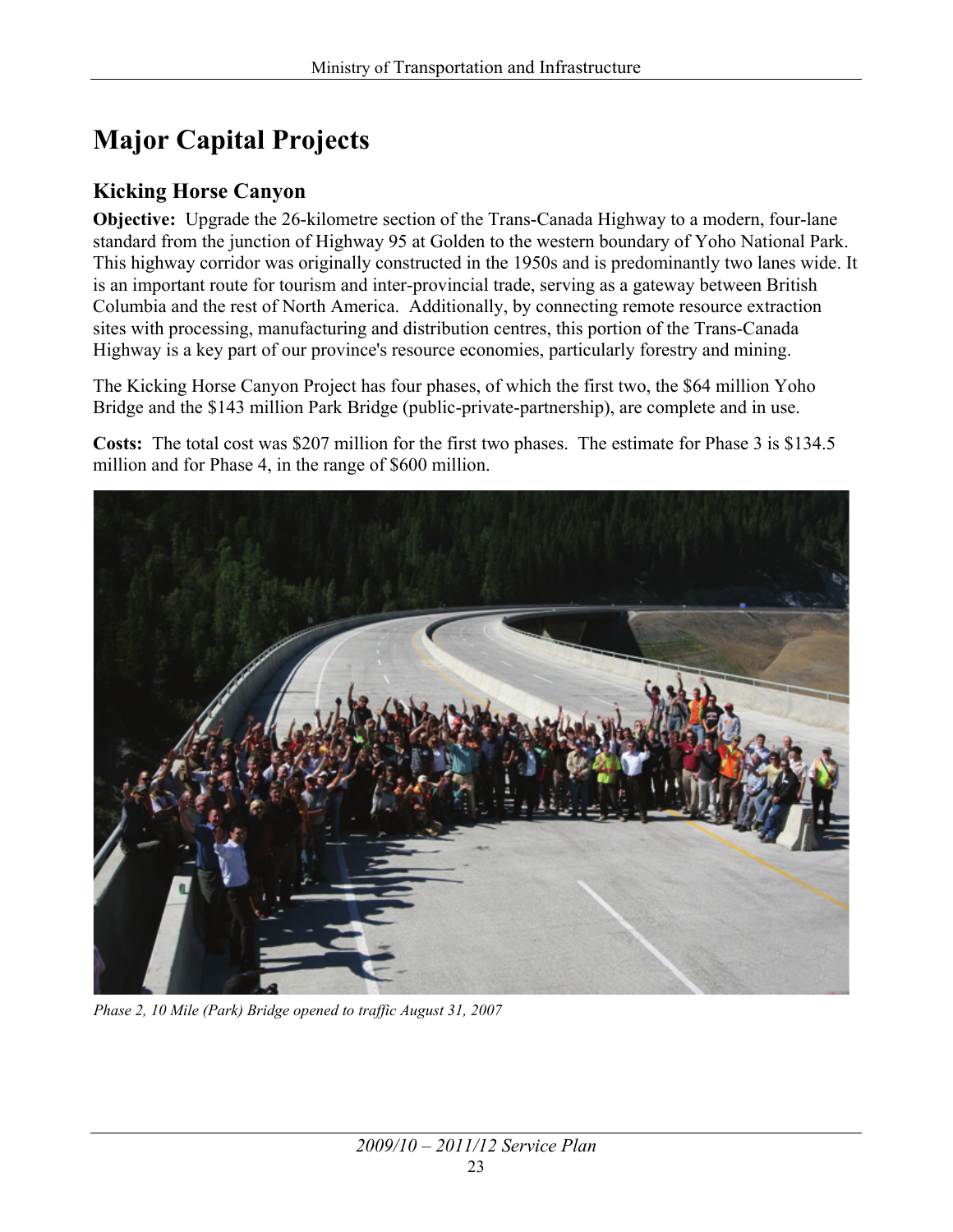## **Major Capital Projects**

#### **Kicking Horse Canyon**

**Objective:** Upgrade the 26-kilometre section of the Trans-Canada Highway to a modern, four-lane standard from the junction of Highway 95 at Golden to the western boundary of Yoho National Park. This highway corridor was originally constructed in the 1950s and is predominantly two lanes wide. It is an important route for tourism and inter-provincial trade, serving as a gateway between British Columbia and the rest of North America. Additionally, by connecting remote resource extraction sites with processing, manufacturing and distribution centres, this portion of the Trans-Canada Highway is a key part of our province's resource economies, particularly forestry and mining.

The Kicking Horse Canyon Project has four phases, of which the first two, the \$64 million Yoho Bridge and the \$143 million Park Bridge (public-private-partnership), are complete and in use.

**Costs:** The total cost was \$207 million for the first two phases. The estimate for Phase 3 is \$134.5 million and for Phase 4, in the range of \$600 million.



*Phase 2, 10 Mile (Park) Bridge opened to traffic August 31, 2007*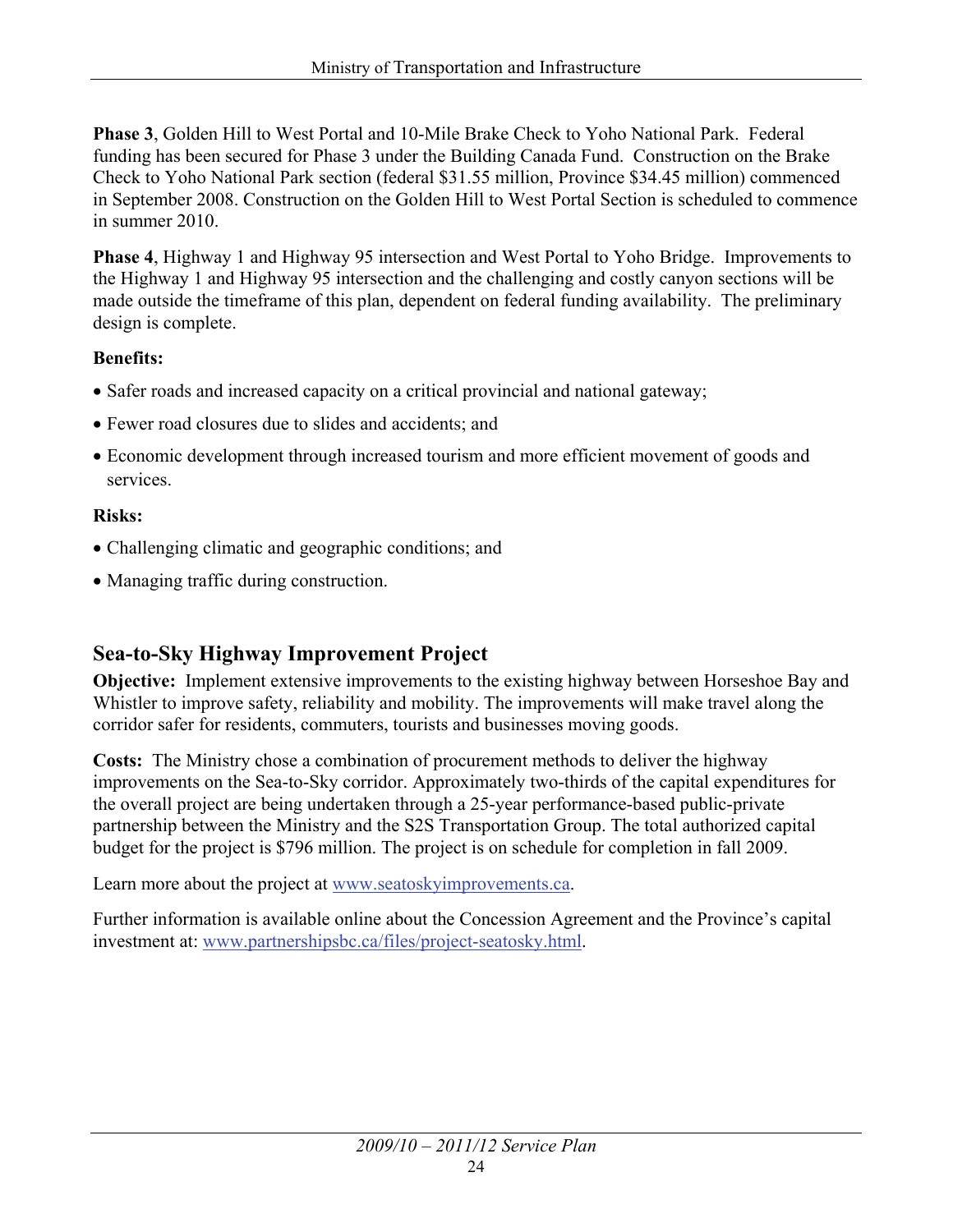**Phase 3**, Golden Hill to West Portal and 10-Mile Brake Check to Yoho National Park. Federal funding has been secured for Phase 3 under the Building Canada Fund. Construction on the Brake Check to Yoho National Park section (federal \$31.55 million, Province \$34.45 million) commenced in September 2008. Construction on the Golden Hill to West Portal Section is scheduled to commence in summer 2010.

**Phase 4**, Highway 1 and Highway 95 intersection and West Portal to Yoho Bridge. Improvements to the Highway 1 and Highway 95 intersection and the challenging and costly canyon sections will be made outside the timeframe of this plan, dependent on federal funding availability. The preliminary design is complete.

#### **Benefits:**

- Safer roads and increased capacity on a critical provincial and national gateway;
- Fewer road closures due to slides and accidents; and
- Economic development through increased tourism and more efficient movement of goods and services.

#### **Risks:**

- Challenging climatic and geographic conditions; and
- Managing traffic during construction.

#### **Sea-to-Sky Highway Improvement Project**

**Objective:** Implement extensive improvements to the existing highway between Horseshoe Bay and Whistler to improve safety, reliability and mobility. The improvements will make travel along the corridor safer for residents, commuters, tourists and businesses moving goods.

**Costs:** The Ministry chose a combination of procurement methods to deliver the highway improvements on the Sea-to-Sky corridor. Approximately two-thirds of the capital expenditures for the overall project are being undertaken through a 25-year performance-based public-private partnership between the Ministry and the S2S Transportation Group. The total authorized capital budget for the project is \$796 million. The project is on schedule for completion in fall 2009.

Learn more about the project at [www.seatoskyimprovements.ca.](http://www.seatoskyimprovements.ca)

Further information is available online about the Concession Agreement and the Province's capital investment at: [www.partnershipsbc.ca/files/project-seatosky.html.](http://www.partnershipsbc.ca/files/project-seatosky.html)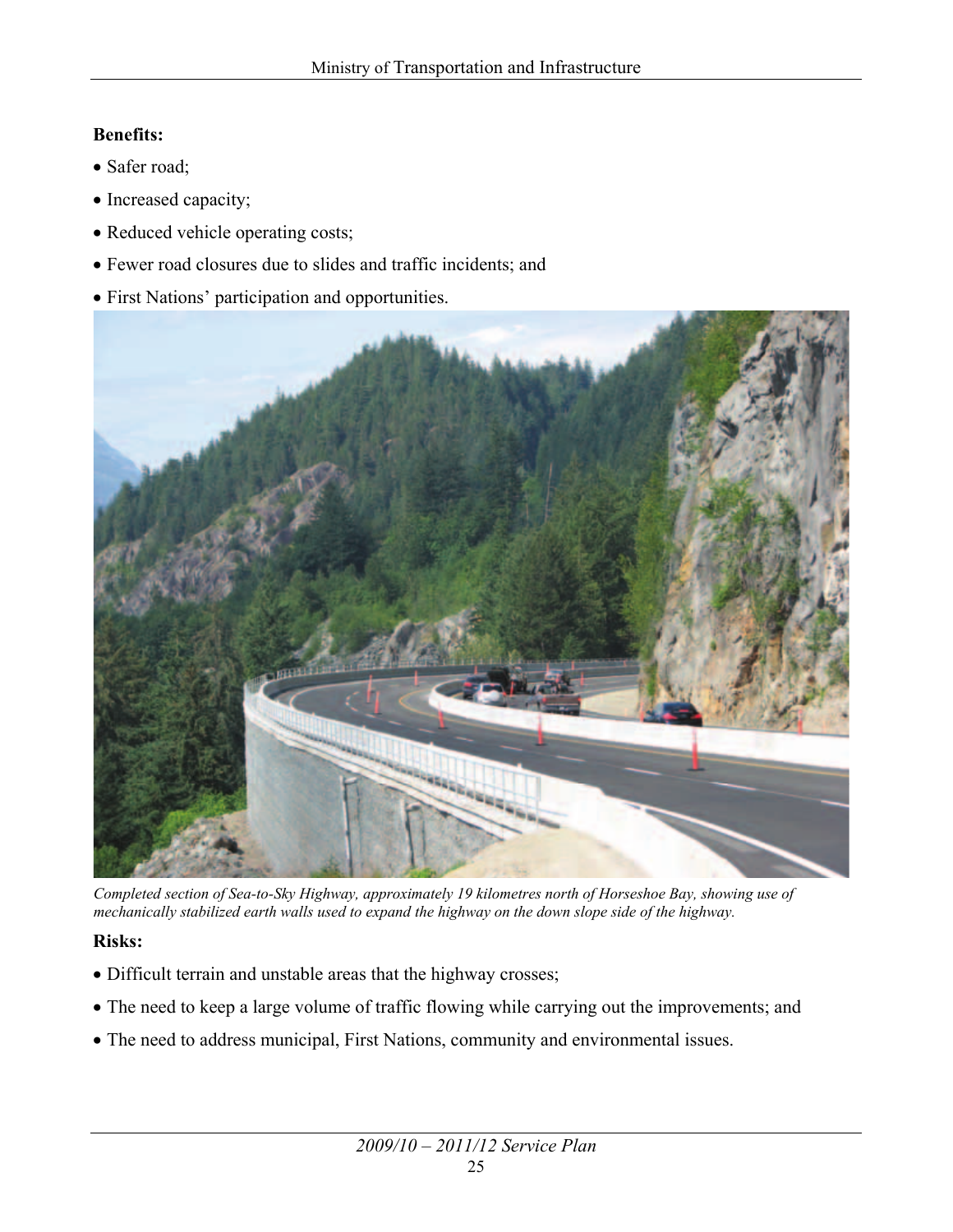#### **Benefits:**

- Safer road;
- Increased capacity;
- Reduced vehicle operating costs;
- x Fewer road closures due to slides and traffic incidents; and
- First Nations' participation and opportunities.



*Completed section of Sea-to-Sky Highway, approximately 19 kilometres north of Horseshoe Bay, showing use of mechanically stabilized earth walls used to expand the highway on the down slope side of the highway.* 

#### **Risks:**

- Difficult terrain and unstable areas that the highway crosses;
- The need to keep a large volume of traffic flowing while carrying out the improvements; and
- The need to address municipal, First Nations, community and environmental issues.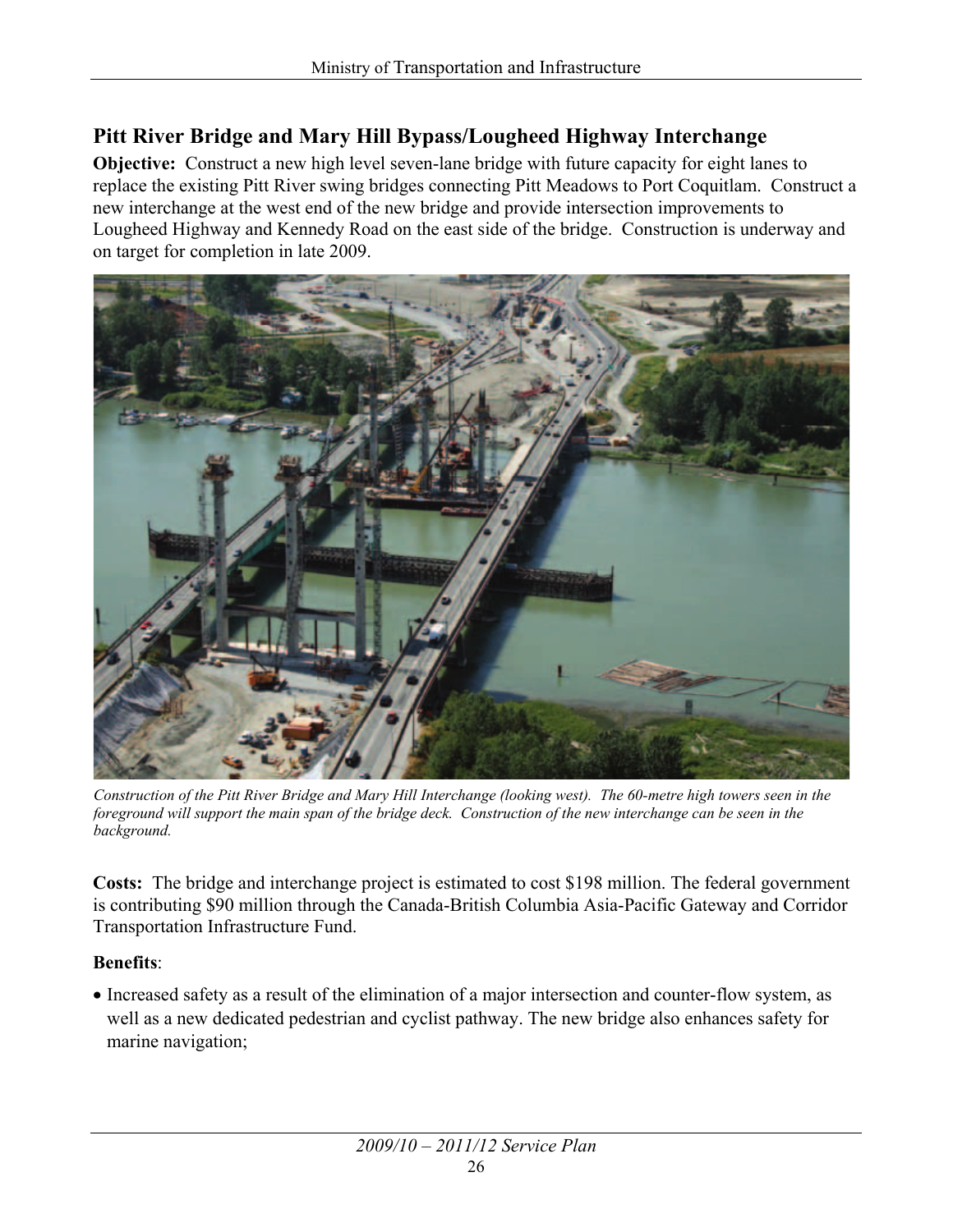#### **Pitt River Bridge and Mary Hill Bypass/Lougheed Highway Interchange**

**Objective:** Construct a new high level seven-lane bridge with future capacity for eight lanes to replace the existing Pitt River swing bridges connecting Pitt Meadows to Port Coquitlam. Construct a new interchange at the west end of the new bridge and provide intersection improvements to Lougheed Highway and Kennedy Road on the east side of the bridge. Construction is underway and on target for completion in late 2009.



*Construction of the Pitt River Bridge and Mary Hill Interchange (looking west). The 60-metre high towers seen in the foreground will support the main span of the bridge deck. Construction of the new interchange can be seen in the background.*

**Costs:** The bridge and interchange project is estimated to cost \$198 million. The federal government is contributing \$90 million through the Canada-British Columbia Asia-Pacific Gateway and Corridor Transportation Infrastructure Fund.

#### **Benefits**:

• Increased safety as a result of the elimination of a major intersection and counter-flow system, as well as a new dedicated pedestrian and cyclist pathway. The new bridge also enhances safety for marine navigation;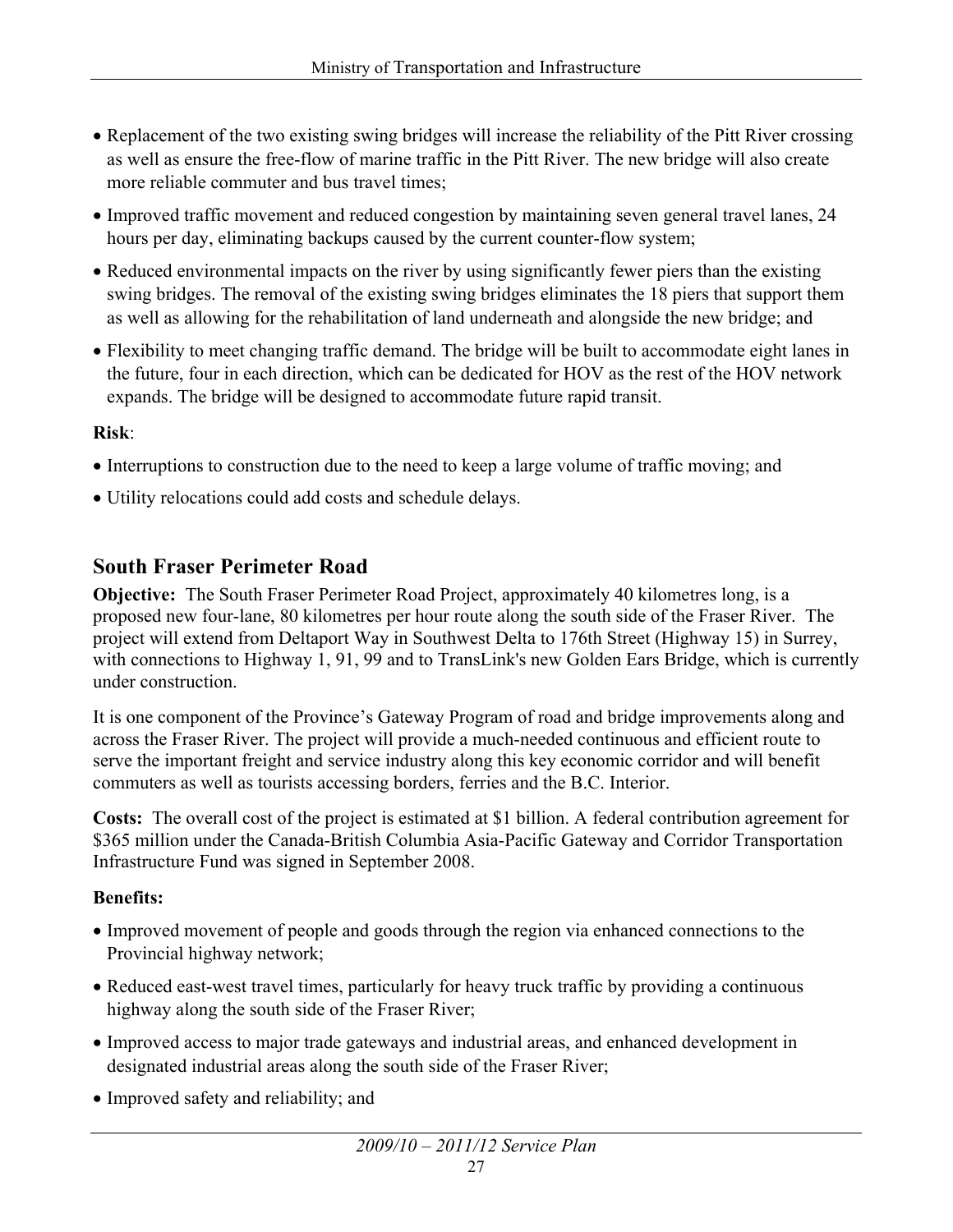- Replacement of the two existing swing bridges will increase the reliability of the Pitt River crossing as well as ensure the free-flow of marine traffic in the Pitt River. The new bridge will also create more reliable commuter and bus travel times;
- Improved traffic movement and reduced congestion by maintaining seven general travel lanes, 24 hours per day, eliminating backups caused by the current counter-flow system;
- Reduced environmental impacts on the river by using significantly fewer piers than the existing swing bridges. The removal of the existing swing bridges eliminates the 18 piers that support them as well as allowing for the rehabilitation of land underneath and alongside the new bridge; and
- Flexibility to meet changing traffic demand. The bridge will be built to accommodate eight lanes in the future, four in each direction, which can be dedicated for HOV as the rest of the HOV network expands. The bridge will be designed to accommodate future rapid transit.

#### **Risk**:

- Interruptions to construction due to the need to keep a large volume of traffic moving; and
- Utility relocations could add costs and schedule delays.

#### **South Fraser Perimeter Road**

**Objective:** The South Fraser Perimeter Road Project, approximately 40 kilometres long, is a proposed new four-lane, 80 kilometres per hour route along the south side of the Fraser River. The project will extend from Deltaport Way in Southwest Delta to 176th Street (Highway 15) in Surrey, with connections to Highway 1, 91, 99 and to TransLink's new Golden Ears Bridge, which is currently under construction.

It is one component of the Province's Gateway Program of road and bridge improvements along and across the Fraser River. The project will provide a much-needed continuous and efficient route to serve the important freight and service industry along this key economic corridor and will benefit commuters as well as tourists accessing borders, ferries and the B.C. Interior.

**Costs:** The overall cost of the project is estimated at \$1 billion. A federal contribution agreement for \$365 million under the Canada-British Columbia Asia-Pacific Gateway and Corridor Transportation Infrastructure Fund was signed in September 2008.

#### **Benefits:**

- Improved movement of people and goods through the region via enhanced connections to the Provincial highway network;
- Reduced east-west travel times, particularly for heavy truck traffic by providing a continuous highway along the south side of the Fraser River;
- Improved access to major trade gateways and industrial areas, and enhanced development in designated industrial areas along the south side of the Fraser River;
- Improved safety and reliability; and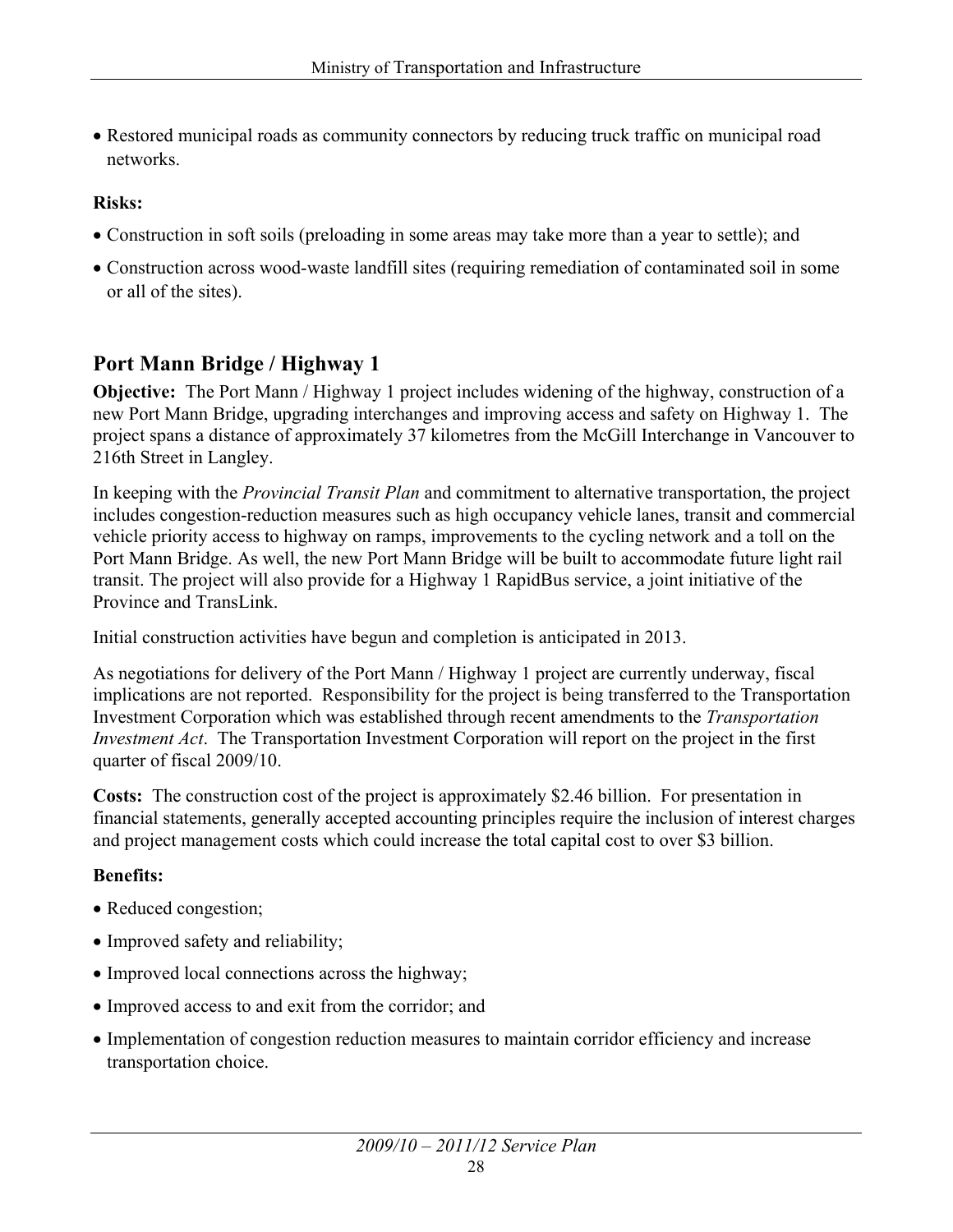• Restored municipal roads as community connectors by reducing truck traffic on municipal road networks.

#### **Risks:**

- Construction in soft soils (preloading in some areas may take more than a year to settle); and
- Construction across wood-waste landfill sites (requiring remediation of contaminated soil in some or all of the sites).

#### **Port Mann Bridge / Highway 1**

**Objective:** The Port Mann / Highway 1 project includes widening of the highway, construction of a new Port Mann Bridge, upgrading interchanges and improving access and safety on Highway 1. The project spans a distance of approximately 37 kilometres from the McGill Interchange in Vancouver to 216th Street in Langley.

In keeping with the *Provincial Transit Plan* and commitment to alternative transportation, the project includes congestion-reduction measures such as high occupancy vehicle lanes, transit and commercial vehicle priority access to highway on ramps, improvements to the cycling network and a toll on the Port Mann Bridge. As well, the new Port Mann Bridge will be built to accommodate future light rail transit. The project will also provide for a Highway 1 RapidBus service, a joint initiative of the Province and TransLink.

Initial construction activities have begun and completion is anticipated in 2013.

As negotiations for delivery of the Port Mann / Highway 1 project are currently underway, fiscal implications are not reported. Responsibility for the project is being transferred to the Transportation Investment Corporation which was established through recent amendments to the *Transportation Investment Act*. The Transportation Investment Corporation will report on the project in the first quarter of fiscal 2009/10.

**Costs:** The construction cost of the project is approximately \$2.46 billion. For presentation in financial statements, generally accepted accounting principles require the inclusion of interest charges and project management costs which could increase the total capital cost to over \$3 billion.

#### **Benefits:**

- Reduced congestion;
- Improved safety and reliability;
- Improved local connections across the highway;
- Improved access to and exit from the corridor; and
- Implementation of congestion reduction measures to maintain corridor efficiency and increase transportation choice.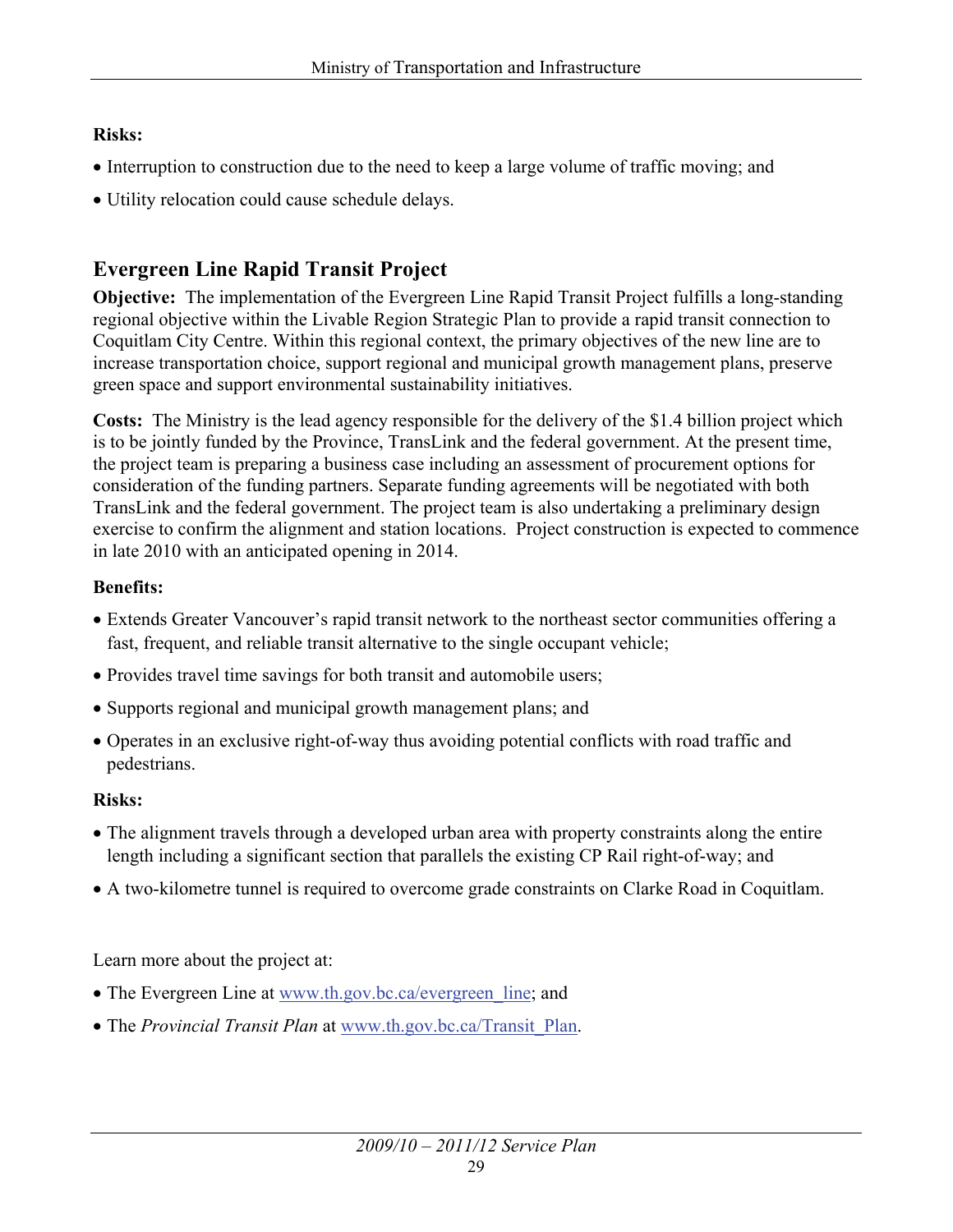#### **Risks:**

- Interruption to construction due to the need to keep a large volume of traffic moving; and
- Utility relocation could cause schedule delays.

#### **Evergreen Line Rapid Transit Project**

**Objective:** The implementation of the Evergreen Line Rapid Transit Project fulfills a long-standing regional objective within the Livable Region Strategic Plan to provide a rapid transit connection to Coquitlam City Centre. Within this regional context, the primary objectives of the new line are to increase transportation choice, support regional and municipal growth management plans, preserve green space and support environmental sustainability initiatives.

**Costs:** The Ministry is the lead agency responsible for the delivery of the \$1.4 billion project which is to be jointly funded by the Province, TransLink and the federal government. At the present time, the project team is preparing a business case including an assessment of procurement options for consideration of the funding partners. Separate funding agreements will be negotiated with both TransLink and the federal government. The project team is also undertaking a preliminary design exercise to confirm the alignment and station locations. Project construction is expected to commence in late 2010 with an anticipated opening in 2014.

#### **Benefits:**

- Extends Greater Vancouver's rapid transit network to the northeast sector communities offering a fast, frequent, and reliable transit alternative to the single occupant vehicle;
- Provides travel time savings for both transit and automobile users;
- Supports regional and municipal growth management plans; and
- Operates in an exclusive right-of-way thus avoiding potential conflicts with road traffic and pedestrians.

#### **Risks:**

- The alignment travels through a developed urban area with property constraints along the entire length including a significant section that parallels the existing CP Rail right-of-way; and
- A two-kilometre tunnel is required to overcome grade constraints on Clarke Road in Coquitlam.

Learn more about the project at:

- The Evergreen Line at www.th.gov.bc.ca/evergreen line; and
- The *Provincial Transit Plan* at [www.th.gov.bc.ca/Transit\\_Plan.](http://www.th.gov.bc.ca/Transit_Plan)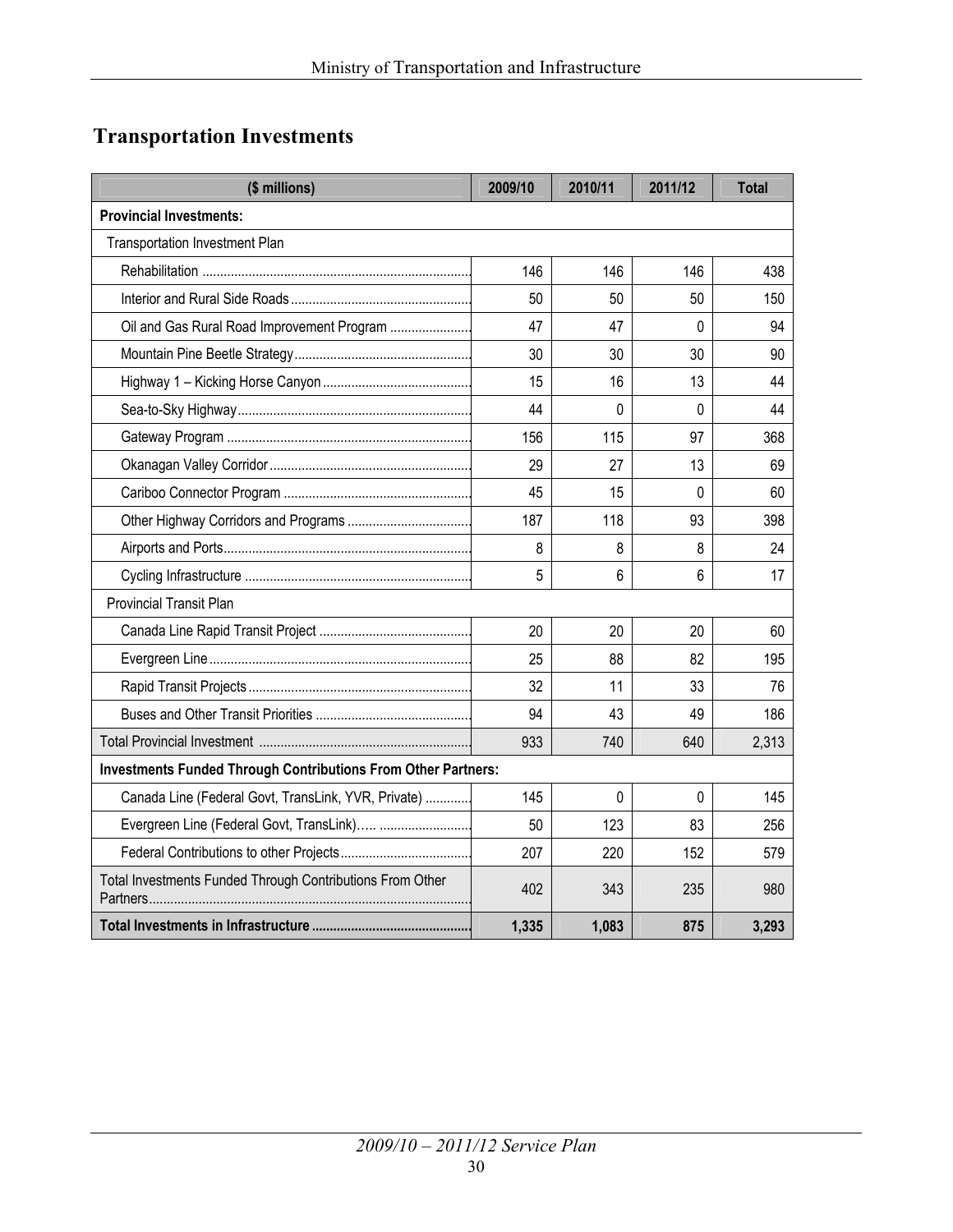#### **Transportation Investments**

| (\$ millions)                                                         | 2009/10 | 2010/11  | 2011/12  | <b>Total</b> |
|-----------------------------------------------------------------------|---------|----------|----------|--------------|
| <b>Provincial Investments:</b>                                        |         |          |          |              |
| <b>Transportation Investment Plan</b>                                 |         |          |          |              |
|                                                                       | 146     | 146      | 146      | 438          |
|                                                                       | 50      | 50       | 50       | 150          |
| Oil and Gas Rural Road Improvement Program                            | 47      | 47       | $\Omega$ | 94           |
|                                                                       | 30      | 30       | 30       | 90           |
|                                                                       | 15      | 16       | 13       | 44           |
|                                                                       | 44      | $\Omega$ | 0        | 44           |
|                                                                       | 156     | 115      | 97       | 368          |
|                                                                       | 29      | 27       | 13       | 69           |
|                                                                       | 45      | 15       | $\Omega$ | 60           |
|                                                                       | 187     | 118      | 93       | 398          |
|                                                                       | 8       | 8        | 8        | 24           |
|                                                                       | 5       | 6        | 6        | 17           |
| <b>Provincial Transit Plan</b>                                        |         |          |          |              |
|                                                                       | 20      | 20       | 20       | 60           |
|                                                                       | 25      | 88       | 82       | 195          |
|                                                                       | 32      | 11       | 33       | 76           |
|                                                                       | 94      | 43       | 49       | 186          |
|                                                                       | 933     | 740      | 640      | 2,313        |
| <b>Investments Funded Through Contributions From Other Partners:</b>  |         |          |          |              |
| Canada Line (Federal Govt, TransLink, YVR, Private)                   | 145     | $\Omega$ | $\Omega$ | 145          |
| Evergreen Line (Federal Govt, TransLink)                              | 50      | 123      | 83       | 256          |
|                                                                       | 207     | 220      | 152      | 579          |
| Total Investments Funded Through Contributions From Other<br>Partners | 402     | 343      | 235      | 980          |
|                                                                       | 1,335   | 1,083    | 875      | 3,293        |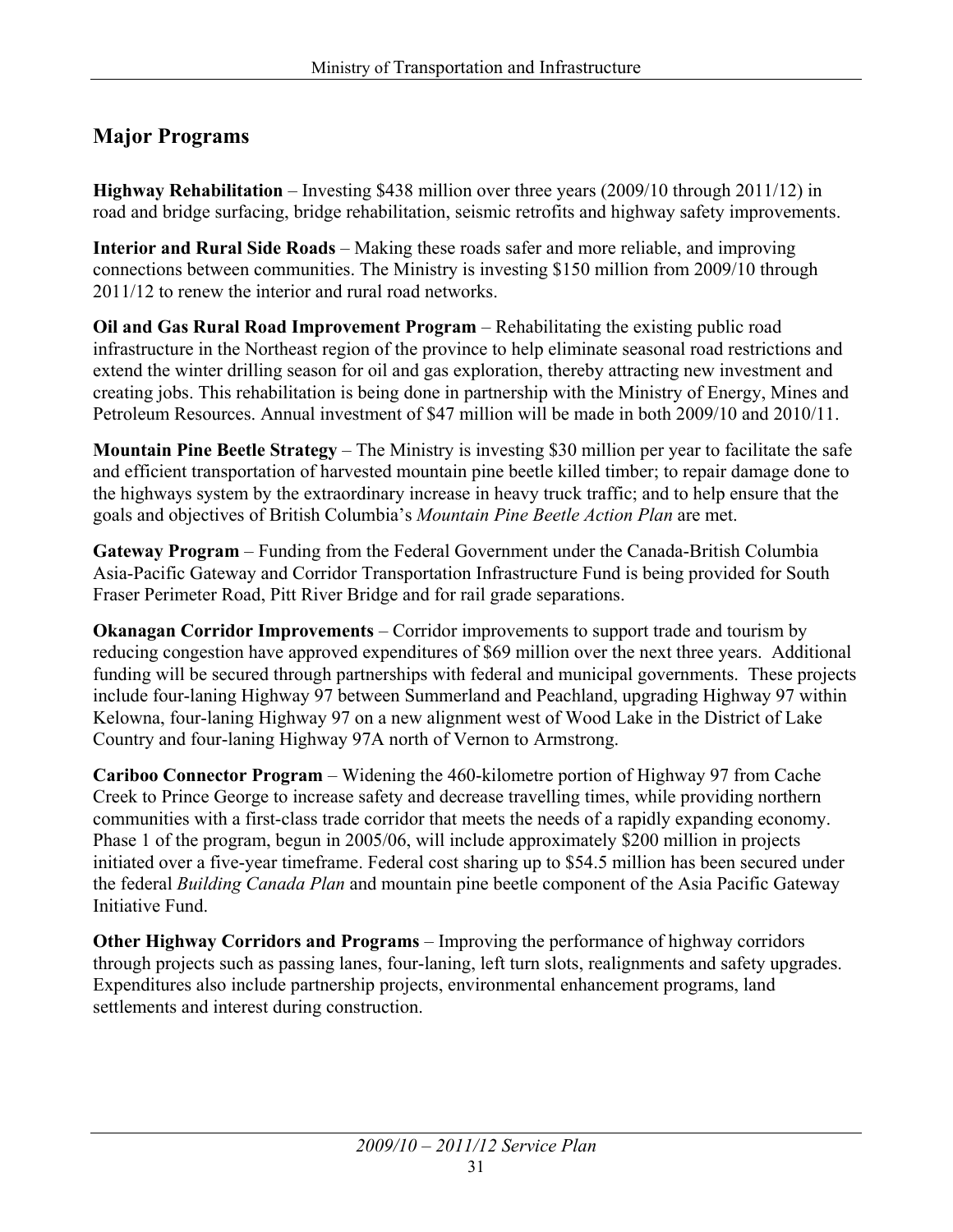#### **Major Programs**

**Highway Rehabilitation** – Investing \$438 million over three years (2009/10 through 2011/12) in road and bridge surfacing, bridge rehabilitation, seismic retrofits and highway safety improvements.

**Interior and Rural Side Roads** – Making these roads safer and more reliable, and improving connections between communities. The Ministry is investing \$150 million from 2009/10 through 2011/12 to renew the interior and rural road networks.

**Oil and Gas Rural Road Improvement Program** – Rehabilitating the existing public road infrastructure in the Northeast region of the province to help eliminate seasonal road restrictions and extend the winter drilling season for oil and gas exploration, thereby attracting new investment and creating jobs. This rehabilitation is being done in partnership with the Ministry of Energy, Mines and Petroleum Resources. Annual investment of \$47 million will be made in both 2009/10 and 2010/11.

**Mountain Pine Beetle Strategy** – The Ministry is investing \$30 million per year to facilitate the safe and efficient transportation of harvested mountain pine beetle killed timber; to repair damage done to the highways system by the extraordinary increase in heavy truck traffic; and to help ensure that the goals and objectives of British Columbia's *Mountain Pine Beetle Action Plan* are met.

**Gateway Program** – Funding from the Federal Government under the Canada-British Columbia Asia-Pacific Gateway and Corridor Transportation Infrastructure Fund is being provided for South Fraser Perimeter Road, Pitt River Bridge and for rail grade separations.

**Okanagan Corridor Improvements** – Corridor improvements to support trade and tourism by reducing congestion have approved expenditures of \$69 million over the next three years. Additional funding will be secured through partnerships with federal and municipal governments. These projects include four-laning Highway 97 between Summerland and Peachland, upgrading Highway 97 within Kelowna, four-laning Highway 97 on a new alignment west of Wood Lake in the District of Lake Country and four-laning Highway 97A north of Vernon to Armstrong.

**Cariboo Connector Program** – Widening the 460-kilometre portion of Highway 97 from Cache Creek to Prince George to increase safety and decrease travelling times, while providing northern communities with a first-class trade corridor that meets the needs of a rapidly expanding economy. Phase 1 of the program, begun in 2005/06, will include approximately \$200 million in projects initiated over a five-year timeframe. Federal cost sharing up to \$54.5 million has been secured under the federal *Building Canada Plan* and mountain pine beetle component of the Asia Pacific Gateway Initiative Fund.

**Other Highway Corridors and Programs** – Improving the performance of highway corridors through projects such as passing lanes, four-laning, left turn slots, realignments and safety upgrades. Expenditures also include partnership projects, environmental enhancement programs, land settlements and interest during construction.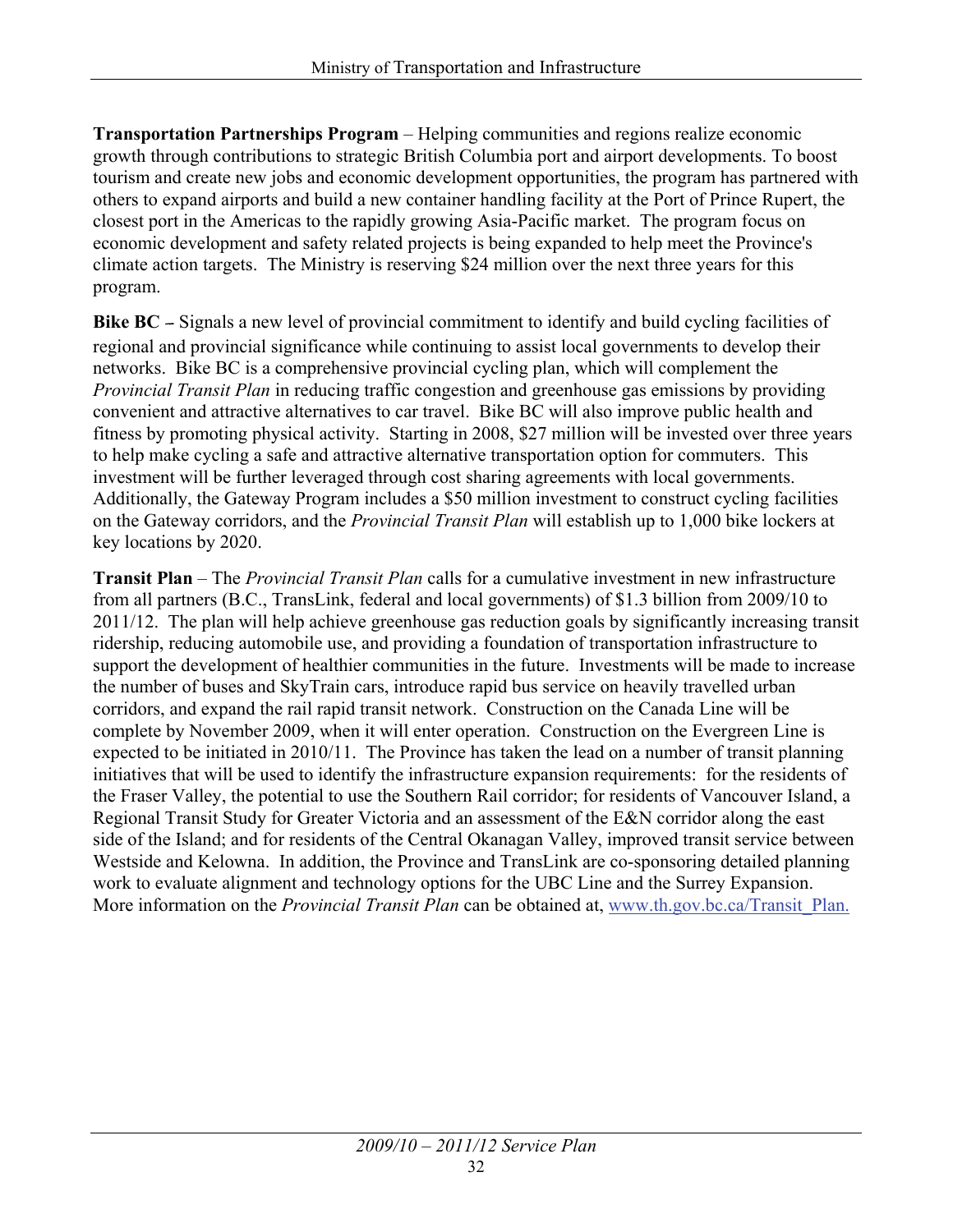**Transportation Partnerships Program** – Helping communities and regions realize economic growth through contributions to strategic British Columbia port and airport developments. To boost tourism and create new jobs and economic development opportunities, the program has partnered with others to expand airports and build a new container handling facility at the Port of Prince Rupert, the closest port in the Americas to the rapidly growing Asia-Pacific market. The program focus on economic development and safety related projects is being expanded to help meet the Province's climate action targets. The Ministry is reserving \$24 million over the next three years for this program.

**Bike BC** – Signals a new level of provincial commitment to identify and build cycling facilities of regional and provincial significance while continuing to assist local governments to develop their networks. Bike BC is a comprehensive provincial cycling plan, which will complement the *Provincial Transit Plan* in reducing traffic congestion and greenhouse gas emissions by providing convenient and attractive alternatives to car travel. Bike BC will also improve public health and fitness by promoting physical activity. Starting in 2008, \$27 million will be invested over three years to help make cycling a safe and attractive alternative transportation option for commuters. This investment will be further leveraged through cost sharing agreements with local governments. Additionally, the Gateway Program includes a \$50 million investment to construct cycling facilities on the Gateway corridors, and the *Provincial Transit Plan* will establish up to 1,000 bike lockers at key locations by 2020.

**Transit Plan** – The *Provincial Transit Plan* calls for a cumulative investment in new infrastructure from all partners (B.C., TransLink, federal and local governments) of \$1.3 billion from 2009/10 to 2011/12. The plan will help achieve greenhouse gas reduction goals by significantly increasing transit ridership, reducing automobile use, and providing a foundation of transportation infrastructure to support the development of healthier communities in the future. Investments will be made to increase the number of buses and SkyTrain cars, introduce rapid bus service on heavily travelled urban corridors, and expand the rail rapid transit network. Construction on the Canada Line will be complete by November 2009, when it will enter operation. Construction on the Evergreen Line is expected to be initiated in 2010/11. The Province has taken the lead on a number of transit planning initiatives that will be used to identify the infrastructure expansion requirements: for the residents of the Fraser Valley, the potential to use the Southern Rail corridor; for residents of Vancouver Island, a Regional Transit Study for Greater Victoria and an assessment of the E&N corridor along the east side of the Island; and for residents of the Central Okanagan Valley, improved transit service between Westside and Kelowna. In addition, the Province and TransLink are co-sponsoring detailed planning work to evaluate alignment and technology options for the UBC Line and the Surrey Expansion. More information on the *Provincial Transit Plan* can be obtained at, [www.th.gov.bc.ca/Transit\\_Plan.](http://www.th.gov.bc.ca/Transit_Plan)